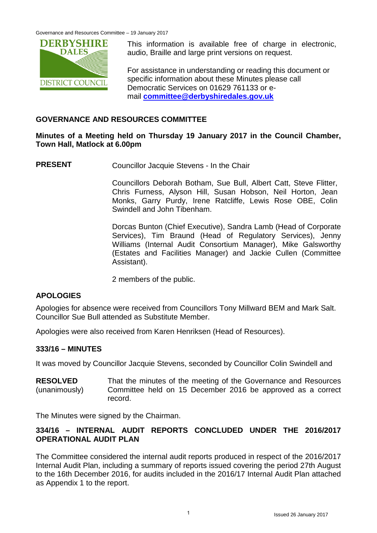

This information is available free of charge in electronic, audio, Braille and large print versions on request.

For assistance in understanding or reading this document or specific information about these Minutes please call Democratic Services on 01629 761133 or email **[committee@derbyshiredales.gov.uk](mailto:committee@derbyshiredales.gov.uk)**

#### **GOVERNANCE AND RESOURCES COMMITTEE**

### **Minutes of a Meeting held on Thursday 19 January 2017 in the Council Chamber, Town Hall, Matlock at 6.00pm**

**PRESENT** Councillor Jacquie Stevens - In the Chair

Councillors Deborah Botham, Sue Bull, Albert Catt, Steve Flitter, Chris Furness, Alyson Hill, Susan Hobson, Neil Horton, Jean Monks, Garry Purdy, Irene Ratcliffe, Lewis Rose OBE, Colin Swindell and John Tibenham.

Dorcas Bunton (Chief Executive), Sandra Lamb (Head of Corporate Services), Tim Braund (Head of Regulatory Services), Jenny Williams (Internal Audit Consortium Manager), Mike Galsworthy (Estates and Facilities Manager) and Jackie Cullen (Committee Assistant).

2 members of the public.

### **APOLOGIES**

Apologies for absence were received from Councillors Tony Millward BEM and Mark Salt. Councillor Sue Bull attended as Substitute Member.

Apologies were also received from Karen Henriksen (Head of Resources).

#### **333/16 – MINUTES**

It was moved by Councillor Jacquie Stevens, seconded by Councillor Colin Swindell and

**RESOLVED** (unanimously) That the minutes of the meeting of the Governance and Resources Committee held on 15 December 2016 be approved as a correct record.

The Minutes were signed by the Chairman.

### **334/16 – INTERNAL AUDIT REPORTS CONCLUDED UNDER THE 2016/2017 OPERATIONAL AUDIT PLAN**

The Committee considered the internal audit reports produced in respect of the 2016/2017 Internal Audit Plan, including a summary of reports issued covering the period 27th August to the 16th December 2016, for audits included in the 2016/17 Internal Audit Plan attached as Appendix 1 to the report.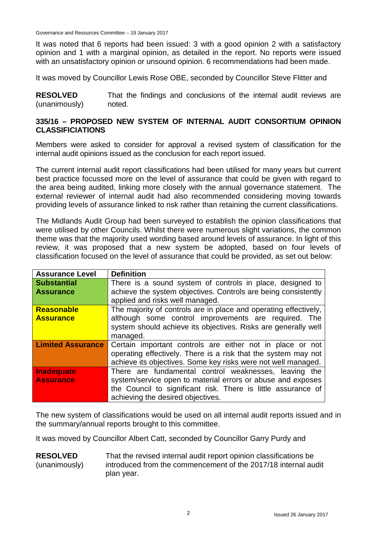Governance and Resources Committee – 19 January 2017

It was noted that 6 reports had been issued: 3 with a good opinion 2 with a satisfactory opinion and 1 with a marginal opinion, as detailed in the report. No reports were issued with an unsatisfactory opinion or unsound opinion. 6 recommendations had been made.

It was moved by Councillor Lewis Rose OBE, seconded by Councillor Steve Flitter and

**RESOLVED** (unanimously) That the findings and conclusions of the internal audit reviews are noted.

#### **335/16 – PROPOSED NEW SYSTEM OF INTERNAL AUDIT CONSORTIUM OPINION CLASSIFICIATIONS**

Members were asked to consider for approval a revised system of classification for the internal audit opinions issued as the conclusion for each report issued.

The current internal audit report classifications had been utilised for many years but current best practice focussed more on the level of assurance that could be given with regard to the area being audited, linking more closely with the annual governance statement. The external reviewer of internal audit had also recommended considering moving towards providing levels of assurance linked to risk rather than retaining the current classifications.

The Midlands Audit Group had been surveyed to establish the opinion classifications that were utilised by other Councils. Whilst there were numerous slight variations, the common theme was that the majority used wording based around levels of assurance. In light of this review, it was proposed that a new system be adopted, based on four levels of classification focused on the level of assurance that could be provided, as set out below:

| <b>Assurance Level</b>   | <b>Definition</b>                                                |
|--------------------------|------------------------------------------------------------------|
| <b>Substantial</b>       | There is a sound system of controls in place, designed to        |
| <b>Assurance</b>         | achieve the system objectives. Controls are being consistently   |
|                          | applied and risks well managed.                                  |
| <b>Reasonable</b>        | The majority of controls are in place and operating effectively, |
| <b>Assurance</b>         | although some control improvements are required. The             |
|                          | system should achieve its objectives. Risks are generally well   |
|                          | managed.                                                         |
| <b>Limited Assurance</b> | Certain important controls are either not in place or not        |
|                          | operating effectively. There is a risk that the system may not   |
|                          | achieve its objectives. Some key risks were not well managed.    |
| <b>Inadequate</b>        | There are fundamental control weaknesses, leaving the            |
| <b>Assurance</b>         | system/service open to material errors or abuse and exposes      |
|                          | the Council to significant risk. There is little assurance of    |
|                          | achieving the desired objectives.                                |

The new system of classifications would be used on all internal audit reports issued and in the summary/annual reports brought to this committee.

It was moved by Councillor Albert Catt, seconded by Councillor Garry Purdy and

#### **RESOLVED** (unanimously) That the revised internal audit report opinion classifications be introduced from the commencement of the 2017/18 internal audit plan year.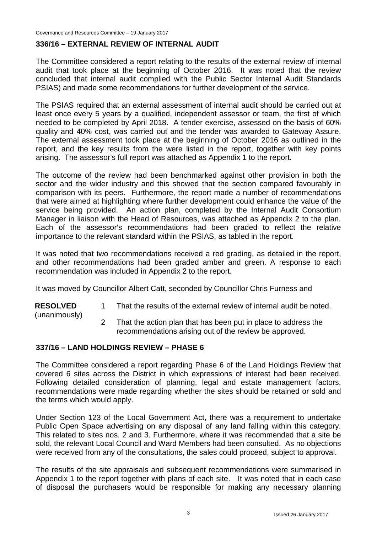### **336/16 – EXTERNAL REVIEW OF INTERNAL AUDIT**

The Committee considered a report relating to the results of the external review of internal audit that took place at the beginning of October 2016. It was noted that the review concluded that internal audit complied with the Public Sector Internal Audit Standards PSIAS) and made some recommendations for further development of the service.

The PSIAS required that an external assessment of internal audit should be carried out at least once every 5 years by a qualified, independent assessor or team, the first of which needed to be completed by April 2018. A tender exercise, assessed on the basis of 60% quality and 40% cost, was carried out and the tender was awarded to Gateway Assure. The external assessment took place at the beginning of October 2016 as outlined in the report, and the key results from the were listed in the report, together with key points arising. The assessor's full report was attached as Appendix 1 to the report.

The outcome of the review had been benchmarked against other provision in both the sector and the wider industry and this showed that the section compared favourably in comparison with its peers. Furthermore, the report made a number of recommendations that were aimed at highlighting where further development could enhance the value of the service being provided. An action plan, completed by the Internal Audit Consortium Manager in liaison with the Head of Resources, was attached as Appendix 2 to the plan. Each of the assessor's recommendations had been graded to reflect the relative importance to the relevant standard within the PSIAS, as tabled in the report.

It was noted that two recommendations received a red grading, as detailed in the report, and other recommendations had been graded amber and green. A response to each recommendation was included in Appendix 2 to the report.

It was moved by Councillor Albert Catt, seconded by Councillor Chris Furness and

**RESOLVED** 1 That the results of the external review of internal audit be noted.

(unanimously)

2 That the action plan that has been put in place to address the recommendations arising out of the review be approved.

#### **337/16 – LAND HOLDINGS REVIEW – PHASE 6**

The Committee considered a report regarding Phase 6 of the Land Holdings Review that covered 6 sites across the District in which expressions of interest had been received. Following detailed consideration of planning, legal and estate management factors, recommendations were made regarding whether the sites should be retained or sold and the terms which would apply.

Under Section 123 of the Local Government Act, there was a requirement to undertake Public Open Space advertising on any disposal of any land falling within this category. This related to sites nos. 2 and 3. Furthermore, where it was recommended that a site be sold, the relevant Local Council and Ward Members had been consulted. As no objections were received from any of the consultations, the sales could proceed, subject to approval.

The results of the site appraisals and subsequent recommendations were summarised in Appendix 1 to the report together with plans of each site. It was noted that in each case of disposal the purchasers would be responsible for making any necessary planning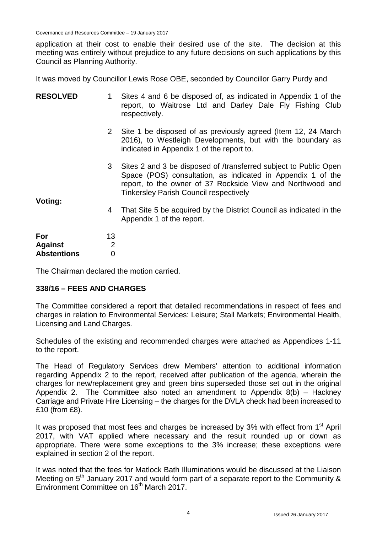Governance and Resources Committee – 19 January 2017

application at their cost to enable their desired use of the site. The decision at this meeting was entirely without prejudice to any future decisions on such applications by this Council as Planning Authority.

It was moved by Councillor Lewis Rose OBE, seconded by Councillor Garry Purdy and

| <b>RESOLVED</b>                             | 1                                      | Sites 4 and 6 be disposed of, as indicated in Appendix 1 of the<br>report, to Waitrose Ltd and Darley Dale Fly Fishing Club<br>respectively.                                                                                                   |
|---------------------------------------------|----------------------------------------|------------------------------------------------------------------------------------------------------------------------------------------------------------------------------------------------------------------------------------------------|
|                                             | $\mathbf{2}$                           | Site 1 be disposed of as previously agreed (Item 12, 24 March)<br>2016), to Westleigh Developments, but with the boundary as<br>indicated in Appendix 1 of the report to.                                                                      |
|                                             | 3                                      | Sites 2 and 3 be disposed of /transferred subject to Public Open<br>Space (POS) consultation, as indicated in Appendix 1 of the<br>report, to the owner of 37 Rockside View and Northwood and<br><b>Tinkersley Parish Council respectively</b> |
| Voting:                                     | 4                                      | That Site 5 be acquired by the District Council as indicated in the<br>Appendix 1 of the report.                                                                                                                                               |
| For<br><b>Against</b><br><b>Abstentions</b> | 13<br>$\overline{2}$<br>$\overline{0}$ |                                                                                                                                                                                                                                                |

The Chairman declared the motion carried.

#### **338/16 – FEES AND CHARGES**

The Committee considered a report that detailed recommendations in respect of fees and charges in relation to Environmental Services: Leisure; Stall Markets; Environmental Health, Licensing and Land Charges.

Schedules of the existing and recommended charges were attached as Appendices 1-11 to the report.

The Head of Regulatory Services drew Members' attention to additional information regarding Appendix 2 to the report, received after publication of the agenda, wherein the charges for new/replacement grey and green bins superseded those set out in the original Appendix 2. The Committee also noted an amendment to Appendix 8(b) – Hackney Carriage and Private Hire Licensing – the charges for the DVLA check had been increased to £10 (from £8).

It was proposed that most fees and charges be increased by  $3\%$  with effect from  $1<sup>st</sup>$  April 2017, with VAT applied where necessary and the result rounded up or down as appropriate. There were some exceptions to the 3% increase; these exceptions were explained in section 2 of the report.

It was noted that the fees for Matlock Bath Illuminations would be discussed at the Liaison Meeting on  $5<sup>th</sup>$  January 2017 and would form part of a separate report to the Community & Environment Committee on 16<sup>th</sup> March 2017.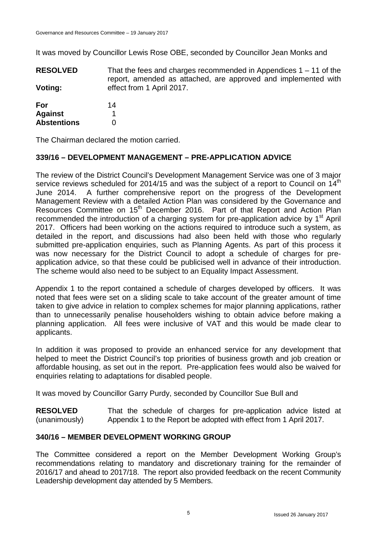It was moved by Councillor Lewis Rose OBE, seconded by Councillor Jean Monks and

**RESOLVED Voting:** That the fees and charges recommended in Appendices  $1 - 11$  of the report, amended as attached, are approved and implemented with effect from 1 April 2017.

| For                | 14 |
|--------------------|----|
| <b>Against</b>     |    |
| <b>Abstentions</b> | O  |

The Chairman declared the motion carried.

### **339/16 – DEVELOPMENT MANAGEMENT – PRE-APPLICATION ADVICE**

The review of the District Council's Development Management Service was one of 3 major service reviews scheduled for 2014/15 and was the subject of a report to Council on  $14<sup>th</sup>$ June 2014. A further comprehensive report on the progress of the Development Management Review with a detailed Action Plan was considered by the Governance and Resources Committee on 15<sup>th</sup> December 2016. Part of that Report and Action Plan recommended the introduction of a charging system for pre-application advice by 1<sup>st</sup> April 2017. Officers had been working on the actions required to introduce such a system, as detailed in the report, and discussions had also been held with those who regularly submitted pre-application enquiries, such as Planning Agents. As part of this process it was now necessary for the District Council to adopt a schedule of charges for preapplication advice, so that these could be publicised well in advance of their introduction. The scheme would also need to be subject to an Equality Impact Assessment.

Appendix 1 to the report contained a schedule of charges developed by officers. It was noted that fees were set on a sliding scale to take account of the greater amount of time taken to give advice in relation to complex schemes for major planning applications, rather than to unnecessarily penalise householders wishing to obtain advice before making a planning application. All fees were inclusive of VAT and this would be made clear to applicants.

In addition it was proposed to provide an enhanced service for any development that helped to meet the District Council's top priorities of business growth and job creation or affordable housing, as set out in the report. Pre-application fees would also be waived for enquiries relating to adaptations for disabled people.

It was moved by Councillor Garry Purdy, seconded by Councillor Sue Bull and

**RESOLVED** (unanimously) That the schedule of charges for pre-application advice listed at Appendix 1 to the Report be adopted with effect from 1 April 2017.

#### **340/16 – MEMBER DEVELOPMENT WORKING GROUP**

The Committee considered a report on the Member Development Working Group's recommendations relating to mandatory and discretionary training for the remainder of 2016/17 and ahead to 2017/18. The report also provided feedback on the recent Community Leadership development day attended by 5 Members.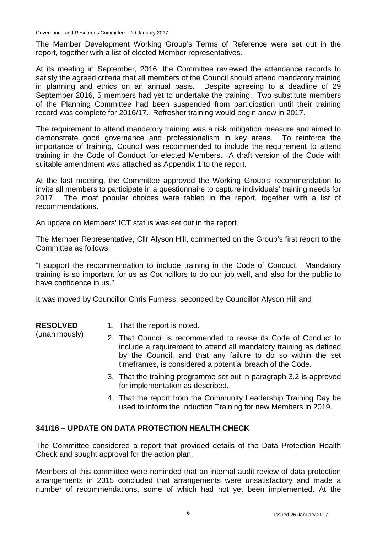Governance and Resources Committee – 19 January 2017

The Member Development Working Group's Terms of Reference were set out in the report, together with a list of elected Member representatives.

At its meeting in September, 2016, the Committee reviewed the attendance records to satisfy the agreed criteria that all members of the Council should attend mandatory training in planning and ethics on an annual basis. Despite agreeing to a deadline of 29 September 2016, 5 members had yet to undertake the training. Two substitute members of the Planning Committee had been suspended from participation until their training record was complete for 2016/17. Refresher training would begin anew in 2017.

The requirement to attend mandatory training was a risk mitigation measure and aimed to demonstrate good governance and professionalism in key areas. To reinforce the importance of training, Council was recommended to include the requirement to attend training in the Code of Conduct for elected Members. A draft version of the Code with suitable amendment was attached as Appendix 1 to the report.

At the last meeting, the Committee approved the Working Group's recommendation to invite all members to participate in a questionnaire to capture individuals' training needs for 2017. The most popular choices were tabled in the report, together with a list of recommendations.

An update on Members' ICT status was set out in the report.

The Member Representative, Cllr Alyson Hill, commented on the Group's first report to the Committee as follows:

"I support the recommendation to include training in the Code of Conduct. Mandatory training is so important for us as Councillors to do our job well, and also for the public to have confidence in us."

It was moved by Councillor Chris Furness, seconded by Councillor Alyson Hill and

| <b>RESOLVED</b> |
|-----------------|
| (unanimously)   |

1. That the report is noted.

- 2. That Council is recommended to revise its Code of Conduct to include a requirement to attend all mandatory training as defined by the Council, and that any failure to do so within the set timeframes, is considered a potential breach of the Code.
	- 3. That the training programme set out in paragraph 3.2 is approved for implementation as described.
	- 4. That the report from the Community Leadership Training Day be used to inform the Induction Training for new Members in 2019.

### **341/16 – UPDATE ON DATA PROTECTION HEALTH CHECK**

The Committee considered a report that provided details of the Data Protection Health Check and sought approval for the action plan.

Members of this committee were reminded that an internal audit review of data protection arrangements in 2015 concluded that arrangements were unsatisfactory and made a number of recommendations, some of which had not yet been implemented. At the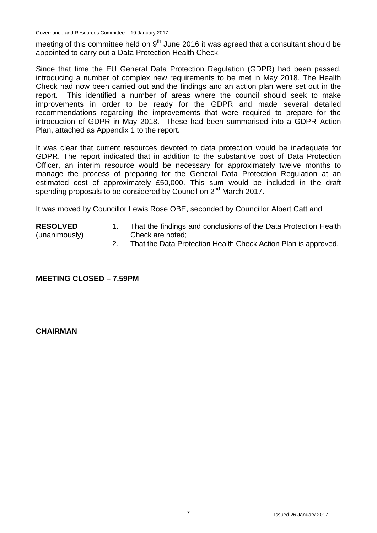Governance and Resources Committee – 19 January 2017

meeting of this committee held on  $9<sup>th</sup>$  June 2016 it was agreed that a consultant should be appointed to carry out a Data Protection Health Check.

Since that time the EU General Data Protection Regulation (GDPR) had been passed, introducing a number of complex new requirements to be met in May 2018. The Health Check had now been carried out and the findings and an action plan were set out in the report. This identified a number of areas where the council should seek to make improvements in order to be ready for the GDPR and made several detailed recommendations regarding the improvements that were required to prepare for the introduction of GDPR in May 2018. These had been summarised into a GDPR Action Plan, attached as Appendix 1 to the report.

It was clear that current resources devoted to data protection would be inadequate for GDPR. The report indicated that in addition to the substantive post of Data Protection Officer, an interim resource would be necessary for approximately twelve months to manage the process of preparing for the General Data Protection Regulation at an estimated cost of approximately £50,000. This sum would be included in the draft spending proposals to be considered by Council on 2<sup>nd</sup> March 2017.

It was moved by Councillor Lewis Rose OBE, seconded by Councillor Albert Catt and

#### **RESOLVED**

- (unanimously)
- 1. That the findings and conclusions of the Data Protection Health Check are noted;
- 2. That the Data Protection Health Check Action Plan is approved.

**MEETING CLOSED – 7.59PM**

#### **CHAIRMAN**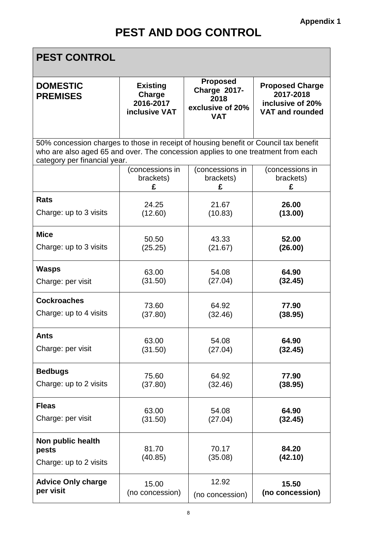ī

×

| <b>PEST CONTROL</b>                                                                                                                                                                                      |                                                         |                                                                                  |                                                                                   |  |
|----------------------------------------------------------------------------------------------------------------------------------------------------------------------------------------------------------|---------------------------------------------------------|----------------------------------------------------------------------------------|-----------------------------------------------------------------------------------|--|
| <b>DOMESTIC</b><br><b>PREMISES</b>                                                                                                                                                                       | <b>Existing</b><br>Charge<br>2016-2017<br>inclusive VAT | <b>Proposed</b><br><b>Charge 2017-</b><br>2018<br>exclusive of 20%<br><b>VAT</b> | <b>Proposed Charge</b><br>2017-2018<br>inclusive of 20%<br><b>VAT and rounded</b> |  |
| 50% concession charges to those in receipt of housing benefit or Council tax benefit<br>who are also aged 65 and over. The concession applies to one treatment from each<br>category per financial year. |                                                         |                                                                                  |                                                                                   |  |
|                                                                                                                                                                                                          | (concessions in                                         | (concessions in                                                                  | (concessions in                                                                   |  |
|                                                                                                                                                                                                          | brackets)                                               | brackets)                                                                        | brackets)                                                                         |  |
|                                                                                                                                                                                                          | £                                                       | £                                                                                | £                                                                                 |  |
| <b>Rats</b>                                                                                                                                                                                              | 24.25                                                   | 21.67                                                                            | 26.00                                                                             |  |
| Charge: up to 3 visits                                                                                                                                                                                   | (12.60)                                                 | (10.83)                                                                          | (13.00)                                                                           |  |
| <b>Mice</b>                                                                                                                                                                                              | 50.50                                                   | 43.33                                                                            | 52.00                                                                             |  |
| Charge: up to 3 visits                                                                                                                                                                                   | (25.25)                                                 | (21.67)                                                                          | (26.00)                                                                           |  |
| <b>Wasps</b>                                                                                                                                                                                             | 63.00                                                   | 54.08                                                                            | 64.90                                                                             |  |
| Charge: per visit                                                                                                                                                                                        | (31.50)                                                 | (27.04)                                                                          | (32.45)                                                                           |  |
| <b>Cockroaches</b>                                                                                                                                                                                       | 73.60                                                   | 64.92                                                                            | 77.90                                                                             |  |
| Charge: up to 4 visits                                                                                                                                                                                   | (37.80)                                                 | (32.46)                                                                          | (38.95)                                                                           |  |
| Ants                                                                                                                                                                                                     | 63.00                                                   | 54.08                                                                            | 64.90                                                                             |  |
| Charge: per visit                                                                                                                                                                                        | (31.50)                                                 | (27.04)                                                                          | (32.45)                                                                           |  |
| <b>Bedbugs</b>                                                                                                                                                                                           | 75.60                                                   | 64.92                                                                            | 77.90                                                                             |  |
| Charge: up to 2 visits                                                                                                                                                                                   | (37.80)                                                 | (32.46)                                                                          | (38.95)                                                                           |  |
| <b>Fleas</b>                                                                                                                                                                                             | 63.00                                                   | 54.08                                                                            | 64.90                                                                             |  |
| Charge: per visit                                                                                                                                                                                        | (31.50)                                                 | (27.04)                                                                          | (32.45)                                                                           |  |
| Non public health<br>pests<br>Charge: up to 2 visits                                                                                                                                                     | 81.70<br>(40.85)                                        | 70.17<br>(35.08)                                                                 | 84.20<br>(42.10)                                                                  |  |
| <b>Advice Only charge</b>                                                                                                                                                                                | 15.00                                                   | 12.92                                                                            | 15.50                                                                             |  |
| per visit                                                                                                                                                                                                | (no concession)                                         | (no concession)                                                                  | (no concession)                                                                   |  |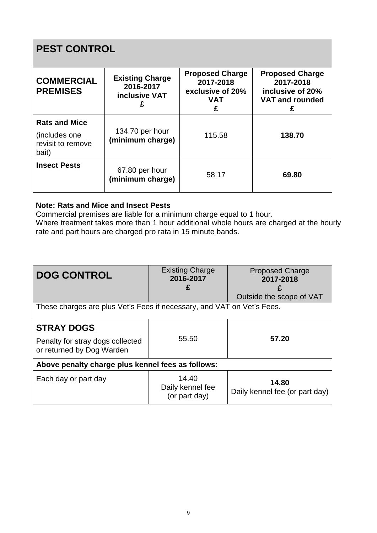## **PEST CONTROL**

| <b>COMMERCIAL</b><br><b>PREMISES</b>                                 | <b>Existing Charge</b><br>2016-2017<br><b>inclusive VAT</b> | <b>Proposed Charge</b><br>2017-2018<br>exclusive of 20%<br><b>VAT</b><br>£ | <b>Proposed Charge</b><br>2017-2018<br>inclusive of 20%<br><b>VAT and rounded</b><br>£ |
|----------------------------------------------------------------------|-------------------------------------------------------------|----------------------------------------------------------------------------|----------------------------------------------------------------------------------------|
| <b>Rats and Mice</b><br>(includes one)<br>revisit to remove<br>bait) | 134.70 per hour<br>(minimum charge)                         | 115.58                                                                     | 138.70                                                                                 |
| <b>Insect Pests</b>                                                  | 67.80 per hour<br>(minimum charge)                          | 58.17                                                                      | 69.80                                                                                  |

### **Note: Rats and Mice and Insect Pests**

Commercial premises are liable for a minimum charge equal to 1 hour.

Where treatment takes more than 1 hour additional whole hours are charged at the hourly rate and part hours are charged pro rata in 15 minute bands.

| <b>DOG CONTROL</b>                                                     | <b>Existing Charge</b><br>2016-2017        | <b>Proposed Charge</b><br>2017-2018     |  |  |
|------------------------------------------------------------------------|--------------------------------------------|-----------------------------------------|--|--|
|                                                                        | £                                          | Outside the scope of VAT                |  |  |
| These charges are plus Vet's Fees if necessary, and VAT on Vet's Fees. |                                            |                                         |  |  |
|                                                                        |                                            |                                         |  |  |
| <b>STRAY DOGS</b>                                                      |                                            |                                         |  |  |
| Penalty for stray dogs collected<br>or returned by Dog Warden          | 55.50                                      | 57.20                                   |  |  |
| Above penalty charge plus kennel fees as follows:                      |                                            |                                         |  |  |
| Each day or part day                                                   | 14.40<br>Daily kennel fee<br>(or part day) | 14.80<br>Daily kennel fee (or part day) |  |  |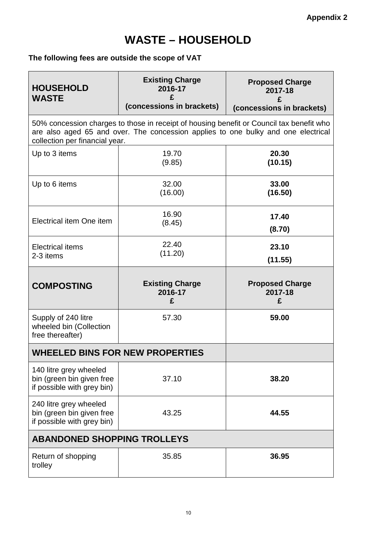## **WASTE – HOUSEHOLD**

### **The following fees are outside the scope of VAT**

| <b>HOUSEHOLD</b><br><b>WASTE</b>                                                  | <b>Existing Charge</b><br>2016-17<br>£<br>(concessions in brackets)                                                                                                           | <b>Proposed Charge</b><br>2017-18<br>(concessions in brackets) |  |
|-----------------------------------------------------------------------------------|-------------------------------------------------------------------------------------------------------------------------------------------------------------------------------|----------------------------------------------------------------|--|
| collection per financial year.                                                    | 50% concession charges to those in receipt of housing benefit or Council tax benefit who<br>are also aged 65 and over. The concession applies to one bulky and one electrical |                                                                |  |
| Up to 3 items                                                                     | 19.70<br>(9.85)                                                                                                                                                               | 20.30<br>(10.15)                                               |  |
| Up to 6 items                                                                     | 32.00<br>(16.00)                                                                                                                                                              | 33.00<br>(16.50)                                               |  |
| Electrical item One item                                                          | 16.90<br>(8.45)                                                                                                                                                               | 17.40<br>(8.70)                                                |  |
| <b>Electrical items</b><br>2-3 items                                              | 22.40<br>(11.20)                                                                                                                                                              | 23.10<br>(11.55)                                               |  |
| <b>COMPOSTING</b>                                                                 | <b>Existing Charge</b><br>2016-17<br>£                                                                                                                                        | <b>Proposed Charge</b><br>2017-18<br>£                         |  |
| Supply of 240 litre<br>wheeled bin (Collection<br>free thereafter)                | 57.30                                                                                                                                                                         | 59.00                                                          |  |
| <b>WHEELED BINS FOR NEW PROPERTIES</b>                                            |                                                                                                                                                                               |                                                                |  |
| 140 litre grey wheeled                                                            |                                                                                                                                                                               |                                                                |  |
| bin (green bin given free<br>if possible with grey bin)                           | 37.10                                                                                                                                                                         | 38.20                                                          |  |
| 240 litre grey wheeled<br>bin (green bin given free<br>if possible with grey bin) | 43.25                                                                                                                                                                         | 44.55                                                          |  |
| <b>ABANDONED SHOPPING TROLLEYS</b>                                                |                                                                                                                                                                               |                                                                |  |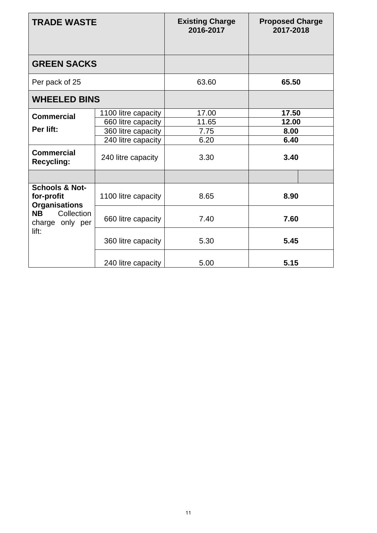| <b>TRADE WASTE</b>                                              |                     | <b>Existing Charge</b><br>2016-2017 | <b>Proposed Charge</b><br>2017-2018 |  |
|-----------------------------------------------------------------|---------------------|-------------------------------------|-------------------------------------|--|
| <b>GREEN SACKS</b>                                              |                     |                                     |                                     |  |
| Per pack of 25                                                  |                     | 63.60                               | 65.50                               |  |
| <b>WHEELED BINS</b>                                             |                     |                                     |                                     |  |
| <b>Commercial</b>                                               | 1100 litre capacity | 17.00                               | 17.50                               |  |
|                                                                 | 660 litre capacity  | 11.65                               | 12.00                               |  |
| Per lift:                                                       | 360 litre capacity  | 7.75                                | 8.00                                |  |
|                                                                 | 240 litre capacity  | 6.20                                | 6.40                                |  |
| <b>Commercial</b><br><b>Recycling:</b>                          | 240 litre capacity  | 3.30                                | 3.40                                |  |
|                                                                 |                     |                                     |                                     |  |
| <b>Schools &amp; Not-</b><br>for-profit<br><b>Organisations</b> | 1100 litre capacity | 8.65                                | 8.90                                |  |
| Collection<br><b>NB</b><br>charge only per<br>lift:             | 660 litre capacity  | 7.40                                | 7.60                                |  |
|                                                                 | 360 litre capacity  | 5.30                                | 5.45                                |  |
|                                                                 | 240 litre capacity  | 5.00                                | 5.15                                |  |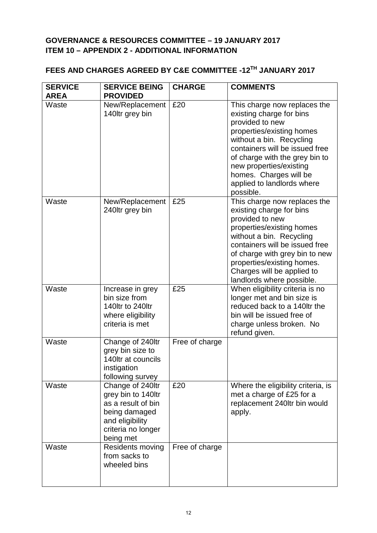### **GOVERNANCE & RESOURCES COMMITTEE – 19 JANUARY 2017 ITEM 10 – APPENDIX 2 - ADDITIONAL INFORMATION**

### **FEES AND CHARGES AGREED BY C&E COMMITTEE -12TH JANUARY 2017**

| <b>SERVICE</b><br><b>AREA</b> | <b>SERVICE BEING</b><br><b>PROVIDED</b>                                                                                             | <b>CHARGE</b>  | <b>COMMENTS</b>                                                                                                                                                                                                                                                                                          |
|-------------------------------|-------------------------------------------------------------------------------------------------------------------------------------|----------------|----------------------------------------------------------------------------------------------------------------------------------------------------------------------------------------------------------------------------------------------------------------------------------------------------------|
| Waste                         | New/Replacement<br>140ltr grey bin                                                                                                  | £20            | This charge now replaces the<br>existing charge for bins<br>provided to new<br>properties/existing homes<br>without a bin. Recycling<br>containers will be issued free<br>of charge with the grey bin to<br>new properties/existing<br>homes. Charges will be<br>applied to landlords where<br>possible. |
| Waste                         | New/Replacement<br>240ltr grey bin                                                                                                  | £25            | This charge now replaces the<br>existing charge for bins<br>provided to new<br>properties/existing homes<br>without a bin. Recycling<br>containers will be issued free<br>of charge with grey bin to new<br>properties/existing homes.<br>Charges will be applied to<br>landlords where possible.        |
| Waste                         | Increase in grey<br>bin size from<br>140ltr to 240ltr<br>where eligibility<br>criteria is met                                       | £25            | When eligibility criteria is no<br>longer met and bin size is<br>reduced back to a 140ltr the<br>bin will be issued free of<br>charge unless broken. No<br>refund given.                                                                                                                                 |
| Waste                         | Change of 240ltr<br>grey bin size to<br>140ltr at councils<br>instigation<br>following survey                                       | Free of charge |                                                                                                                                                                                                                                                                                                          |
| Waste                         | Change of 240ltr<br>grey bin to 140ltr<br>as a result of bin<br>being damaged<br>and eligibility<br>criteria no longer<br>being met | £20            | Where the eligibility criteria, is<br>met a charge of £25 for a<br>replacement 240ltr bin would<br>apply.                                                                                                                                                                                                |
| Waste                         | Residents moving<br>from sacks to<br>wheeled bins                                                                                   | Free of charge |                                                                                                                                                                                                                                                                                                          |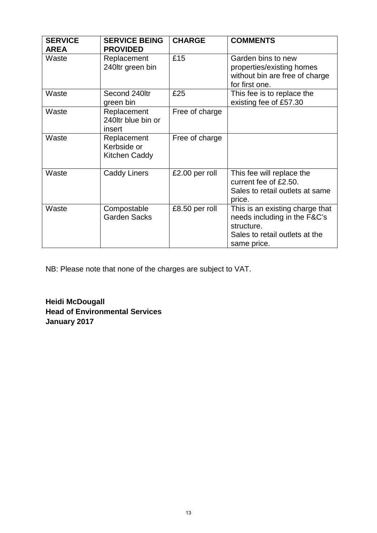| <b>SERVICE</b><br><b>AREA</b> | <b>SERVICE BEING</b><br><b>PROVIDED</b>     | <b>CHARGE</b>  | <b>COMMENTS</b>                                                                                                                |
|-------------------------------|---------------------------------------------|----------------|--------------------------------------------------------------------------------------------------------------------------------|
| Waste                         | Replacement<br>240ltr green bin             | £15            | Garden bins to new<br>properties/existing homes<br>without bin are free of charge<br>for first one.                            |
| Waste                         | Second 240ltr<br>green bin                  | £25            | This fee is to replace the<br>existing fee of £57.30                                                                           |
| Waste                         | Replacement<br>240ltr blue bin or<br>insert | Free of charge |                                                                                                                                |
| Waste                         | Replacement<br>Kerbside or<br>Kitchen Caddy | Free of charge |                                                                                                                                |
| Waste                         | <b>Caddy Liners</b>                         | £2.00 per roll | This fee will replace the<br>current fee of £2.50.<br>Sales to retail outlets at same<br>price.                                |
| Waste                         | Compostable<br><b>Garden Sacks</b>          | £8.50 per roll | This is an existing charge that<br>needs including in the F&C's<br>structure.<br>Sales to retail outlets at the<br>same price. |

NB: Please note that none of the charges are subject to VAT.

**Heidi McDougall Head of Environmental Services January 2017**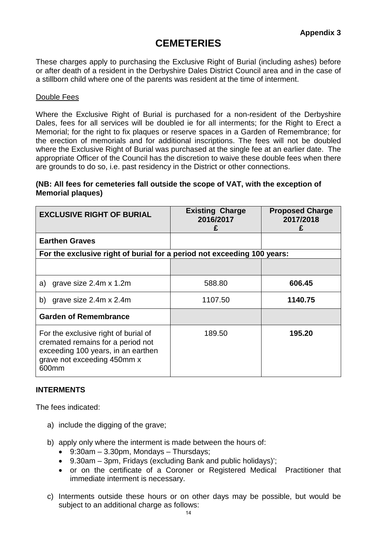### **CEMETERIES**

These charges apply to purchasing the Exclusive Right of Burial (including ashes) before or after death of a resident in the Derbyshire Dales District Council area and in the case of a stillborn child where one of the parents was resident at the time of interment.

#### Double Fees

Where the Exclusive Right of Burial is purchased for a non-resident of the Derbyshire Dales, fees for all services will be doubled ie for all interments; for the Right to Erect a Memorial; for the right to fix plaques or reserve spaces in a Garden of Remembrance; for the erection of memorials and for additional inscriptions. The fees will not be doubled where the Exclusive Right of Burial was purchased at the single fee at an earlier date. The appropriate Officer of the Council has the discretion to waive these double fees when there are grounds to do so, i.e. past residency in the District or other connections.

#### **(NB: All fees for cemeteries fall outside the scope of VAT, with the exception of Memorial plaques)**

| <b>EXCLUSIVE RIGHT OF BURIAL</b>                                                                                                                        | <b>Existing Charge</b><br>2016/2017<br>£ | <b>Proposed Charge</b><br>2017/2018 |
|---------------------------------------------------------------------------------------------------------------------------------------------------------|------------------------------------------|-------------------------------------|
| <b>Earthen Graves</b>                                                                                                                                   |                                          |                                     |
| For the exclusive right of burial for a period not exceeding 100 years:                                                                                 |                                          |                                     |
|                                                                                                                                                         |                                          |                                     |
| grave size 2.4m x 1.2m<br>a)                                                                                                                            | 588.80                                   | 606.45                              |
| grave size 2.4m x 2.4m<br>b)                                                                                                                            | 1107.50                                  | 1140.75                             |
| <b>Garden of Remembrance</b>                                                                                                                            |                                          |                                     |
| For the exclusive right of burial of<br>cremated remains for a period not<br>exceeding 100 years, in an earthen<br>grave not exceeding 450mm x<br>600mm | 189.50                                   | 195.20                              |

#### **INTERMENTS**

The fees indicated:

- a) include the digging of the grave;
- b) apply only where the interment is made between the hours of:
	- $\bullet$  9:30am 3.30pm, Mondays Thursdays;
	- 9.30am 3pm, Fridays (excluding Bank and public holidays)';
	- or on the certificate of a Coroner or Registered Medical Practitioner that immediate interment is necessary.
- c) Interments outside these hours or on other days may be possible, but would be subject to an additional charge as follows: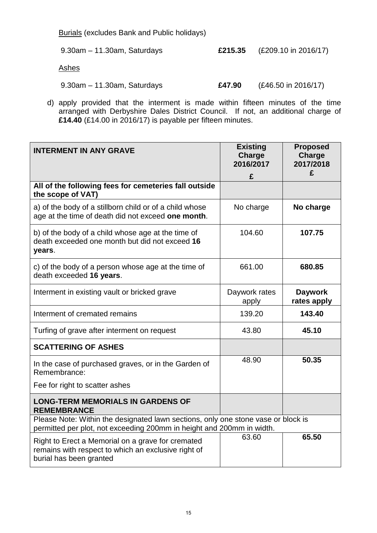Burials (excludes Bank and Public holidays)

| $9.30$ am $-11.30$ am, Saturdays |        | £215.35 $(E209.10 \text{ in } 2016/17)$ |
|----------------------------------|--------|-----------------------------------------|
| Ashes                            |        |                                         |
| $9.30$ am $-11.30$ am, Saturdays | £47.90 | $(E46.50 \text{ in } 2016/17)$          |

d) apply provided that the interment is made within fifteen minutes of the time arranged with Derbyshire Dales District Council. If not, an additional charge of **£14.40** (£14.00 in 2016/17) is payable per fifteen minutes.

| <b>INTERMENT IN ANY GRAVE</b>                                                                                                                              | <b>Existing</b><br>Charge<br>2016/2017 | <b>Proposed</b><br>Charge<br>2017/2018 |  |
|------------------------------------------------------------------------------------------------------------------------------------------------------------|----------------------------------------|----------------------------------------|--|
|                                                                                                                                                            | £                                      | £                                      |  |
| All of the following fees for cemeteries fall outside<br>the scope of VAT)                                                                                 |                                        |                                        |  |
| a) of the body of a stillborn child or of a child whose<br>age at the time of death did not exceed one month.                                              | No charge                              | No charge                              |  |
| b) of the body of a child whose age at the time of<br>death exceeded one month but did not exceed 16<br>years.                                             | 104.60                                 | 107.75                                 |  |
| c) of the body of a person whose age at the time of<br>death exceeded 16 years.                                                                            | 661.00                                 | 680.85                                 |  |
| Interment in existing vault or bricked grave                                                                                                               | Daywork rates<br>apply                 | <b>Daywork</b><br>rates apply          |  |
| Interment of cremated remains                                                                                                                              | 139.20                                 | 143.40                                 |  |
| Turfing of grave after interment on request                                                                                                                | 43.80                                  | 45.10                                  |  |
| <b>SCATTERING OF ASHES</b>                                                                                                                                 |                                        |                                        |  |
| In the case of purchased graves, or in the Garden of<br>Remembrance:                                                                                       | 48.90                                  | 50.35                                  |  |
| Fee for right to scatter ashes                                                                                                                             |                                        |                                        |  |
| <b>LONG-TERM MEMORIALS IN GARDENS OF</b><br><b>REMEMBRANCE</b>                                                                                             |                                        |                                        |  |
| Please Note: Within the designated lawn sections, only one stone vase or block is<br>permitted per plot, not exceeding 200mm in height and 200mm in width. |                                        |                                        |  |
| Right to Erect a Memorial on a grave for cremated<br>remains with respect to which an exclusive right of<br>burial has been granted                        | 63.60                                  | 65.50                                  |  |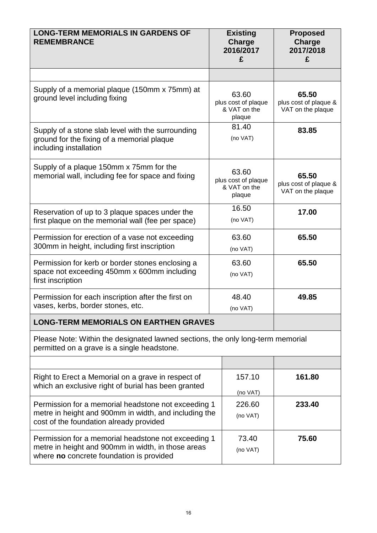| <b>LONG-TERM MEMORIALS IN GARDENS OF</b><br><b>REMEMBRANCE</b>                                                                                          | <b>Existing</b><br><b>Charge</b><br>2016/2017<br>£     | <b>Proposed</b><br>Charge<br>2017/2018<br>£         |
|---------------------------------------------------------------------------------------------------------------------------------------------------------|--------------------------------------------------------|-----------------------------------------------------|
|                                                                                                                                                         |                                                        |                                                     |
| Supply of a memorial plaque (150mm x 75mm) at<br>ground level including fixing                                                                          | 63.60<br>plus cost of plaque<br>& VAT on the<br>plaque | 65.50<br>plus cost of plaque &<br>VAT on the plaque |
| Supply of a stone slab level with the surrounding<br>ground for the fixing of a memorial plaque<br>including installation                               | 81.40<br>(no VAT)                                      | 83.85                                               |
| Supply of a plaque 150mm x 75mm for the<br>63.60<br>memorial wall, including fee for space and fixing<br>plus cost of plaque<br>& VAT on the<br>plaque  |                                                        | 65.50<br>plus cost of plaque &<br>VAT on the plaque |
| 16.50<br>Reservation of up to 3 plaque spaces under the<br>(no VAT)<br>first plaque on the memorial wall (fee per space)                                |                                                        | 17.00                                               |
| Permission for erection of a vase not exceeding<br>300mm in height, including first inscription                                                         | 63.60<br>(no VAT)                                      |                                                     |
| Permission for kerb or border stones enclosing a<br>space not exceeding 450mm x 600mm including<br>first inscription                                    | 63.60<br>(no VAT)                                      | 65.50                                               |
| Permission for each inscription after the first on<br>vases, kerbs, border stones, etc.                                                                 | 48.40<br>(no VAT)                                      | 49.85                                               |
| <b>LONG-TERM MEMORIALS ON EARTHEN GRAVES</b>                                                                                                            |                                                        |                                                     |
| Please Note: Within the designated lawned sections, the only long-term memorial<br>permitted on a grave is a single headstone.                          |                                                        |                                                     |
|                                                                                                                                                         |                                                        |                                                     |
| Right to Erect a Memorial on a grave in respect of<br>157.10<br>which an exclusive right of burial has been granted                                     |                                                        | 161.80                                              |
| Permission for a memorial headstone not exceeding 1<br>metre in height and 900mm in width, and including the<br>cost of the foundation already provided | (no VAT)<br>226.60<br>(no VAT)                         | 233.40                                              |
| Permission for a memorial headstone not exceeding 1<br>metre in height and 900mm in width, in those areas<br>where no concrete foundation is provided   | 73.40<br>(no VAT)                                      | 75.60                                               |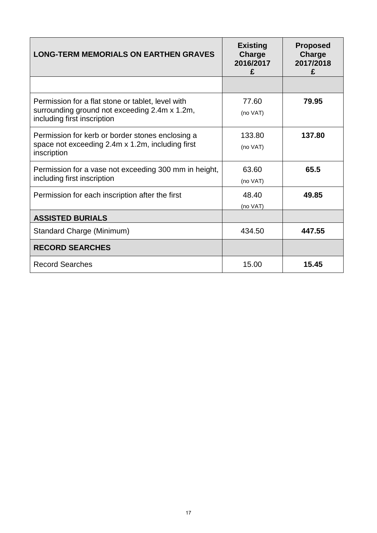| <b>LONG-TERM MEMORIALS ON EARTHEN GRAVES</b>                                                                                      | <b>Existing</b><br>Charge<br>2016/2017<br>£ | <b>Proposed</b><br>Charge<br>2017/2018<br>£ |
|-----------------------------------------------------------------------------------------------------------------------------------|---------------------------------------------|---------------------------------------------|
|                                                                                                                                   |                                             |                                             |
| Permission for a flat stone or tablet, level with<br>surrounding ground not exceeding 2.4m x 1.2m,<br>including first inscription | 77.60<br>(no VAT)                           | 79.95                                       |
| Permission for kerb or border stones enclosing a<br>space not exceeding 2.4m x 1.2m, including first<br>inscription               | 133.80<br>(no VAT)                          | 137.80                                      |
| Permission for a vase not exceeding 300 mm in height,<br>including first inscription                                              | 63.60<br>(no VAT)                           | 65.5                                        |
| Permission for each inscription after the first                                                                                   | 48.40<br>(no VAT)                           | 49.85                                       |
| <b>ASSISTED BURIALS</b>                                                                                                           |                                             |                                             |
| Standard Charge (Minimum)                                                                                                         | 434.50                                      | 447.55                                      |
| <b>RECORD SEARCHES</b>                                                                                                            |                                             |                                             |
| <b>Record Searches</b>                                                                                                            | 15.00                                       | 15.45                                       |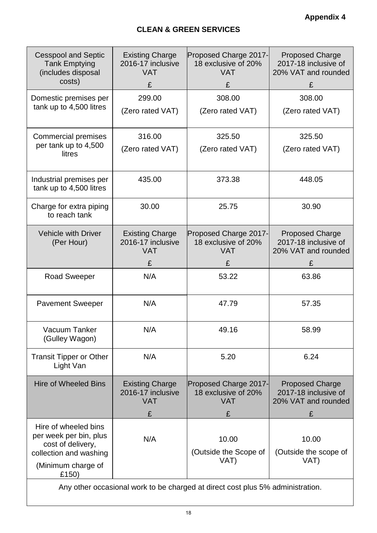| <b>Cesspool and Septic</b><br><b>Tank Emptying</b><br>(includes disposal<br>costs)            | <b>Existing Charge</b><br>2016-17 inclusive<br><b>VAT</b><br>£ | Proposed Charge 2017-<br>18 exclusive of 20%<br><b>VAT</b><br>£ | <b>Proposed Charge</b><br>2017-18 inclusive of<br>20% VAT and rounded<br>£ |
|-----------------------------------------------------------------------------------------------|----------------------------------------------------------------|-----------------------------------------------------------------|----------------------------------------------------------------------------|
| Domestic premises per                                                                         | 299.00                                                         | 308.00                                                          | 308.00                                                                     |
| tank up to 4,500 litres                                                                       | (Zero rated VAT)                                               | (Zero rated VAT)                                                | (Zero rated VAT)                                                           |
| <b>Commercial premises</b>                                                                    | 316.00                                                         | 325.50                                                          | 325.50                                                                     |
| per tank up to 4,500<br>litres                                                                | (Zero rated VAT)                                               | (Zero rated VAT)                                                | (Zero rated VAT)                                                           |
| Industrial premises per<br>tank up to 4,500 litres                                            | 435.00                                                         | 373.38                                                          | 448.05                                                                     |
| Charge for extra piping<br>to reach tank                                                      | 30.00                                                          | 25.75                                                           | 30.90                                                                      |
| <b>Vehicle with Driver</b><br>(Per Hour)                                                      | <b>Existing Charge</b><br>2016-17 inclusive<br><b>VAT</b><br>£ | Proposed Charge 2017-<br>18 exclusive of 20%<br><b>VAT</b><br>£ | <b>Proposed Charge</b><br>2017-18 inclusive of<br>20% VAT and rounded<br>£ |
| <b>Road Sweeper</b>                                                                           | N/A                                                            | 53.22                                                           | 63.86                                                                      |
| <b>Pavement Sweeper</b>                                                                       | N/A                                                            | 47.79                                                           | 57.35                                                                      |
| Vacuum Tanker<br>(Gulley Wagon)                                                               | N/A                                                            | 49.16                                                           | 58.99                                                                      |
| <b>Transit Tipper or Other</b><br>Light Van                                                   | N/A                                                            | 5.20                                                            | 6.24                                                                       |
| <b>Hire of Wheeled Bins</b>                                                                   | <b>Existing Charge</b><br>2016-17 inclusive<br><b>VAT</b>      | Proposed Charge 2017-<br>18 exclusive of 20%<br><b>VAT</b>      | <b>Proposed Charge</b><br>2017-18 inclusive of<br>20% VAT and rounded      |
|                                                                                               | £                                                              | £                                                               | £                                                                          |
| Hire of wheeled bins<br>per week per bin, plus<br>cost of delivery,<br>collection and washing | N/A                                                            | 10.00<br>(Outside the Scope of                                  | 10.00<br>(Outside the scope of                                             |
| (Minimum charge of<br>£150)                                                                   |                                                                | VAT)                                                            | VAT)                                                                       |

Any other occasional work to be charged at direct cost plus 5% administration.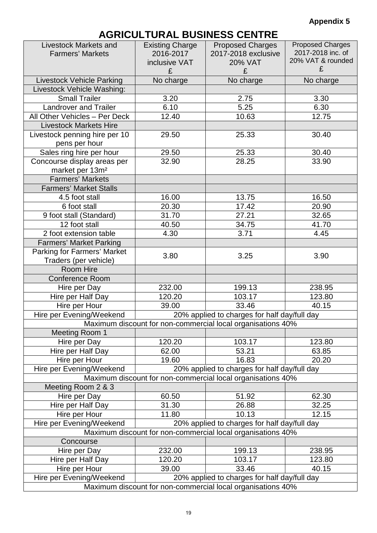### **Appendix 5**

## **AGRICULTURAL BUSINESS CENTRE**

| <b>Livestock Markets and</b>                                   | <b>Existing Charge</b>                                                                                                                  | <b>Proposed Charges</b>                                     | <b>Proposed Charges</b><br>2017-2018 inc. of |
|----------------------------------------------------------------|-----------------------------------------------------------------------------------------------------------------------------------------|-------------------------------------------------------------|----------------------------------------------|
| <b>Farmers' Markets</b>                                        | 2016-2017                                                                                                                               | 2017-2018 exclusive                                         | 20% VAT & rounded                            |
|                                                                | inclusive VAT<br>£                                                                                                                      | <b>20% VAT</b><br>£                                         | £                                            |
|                                                                | No charge                                                                                                                               | No charge                                                   | No charge                                    |
| <b>Livestock Vehicle Parking</b><br>Livestock Vehicle Washing: |                                                                                                                                         |                                                             |                                              |
| <b>Small Trailer</b>                                           | 3.20                                                                                                                                    | 2.75                                                        | 3.30                                         |
| <b>Landrover and Trailer</b>                                   | 6.10                                                                                                                                    | 5.25                                                        | 6.30                                         |
| All Other Vehicles - Per Deck                                  | 12.40                                                                                                                                   | 10.63                                                       | 12.75                                        |
| <b>Livestock Markets Hire</b>                                  |                                                                                                                                         |                                                             |                                              |
| Livestock penning hire per 10                                  | 29.50                                                                                                                                   | 25.33                                                       | 30.40                                        |
| pens per hour                                                  |                                                                                                                                         |                                                             |                                              |
| Sales ring hire per hour                                       | 29.50                                                                                                                                   | 25.33                                                       | 30.40                                        |
| Concourse display areas per                                    | 32.90                                                                                                                                   | 28.25                                                       | 33.90                                        |
| market per 13m <sup>2</sup>                                    |                                                                                                                                         |                                                             |                                              |
| <b>Farmers' Markets</b>                                        |                                                                                                                                         |                                                             |                                              |
| <b>Farmers' Market Stalls</b>                                  |                                                                                                                                         |                                                             |                                              |
| 4.5 foot stall                                                 | 16.00                                                                                                                                   | 13.75                                                       | 16.50                                        |
| 6 foot stall                                                   | 20.30                                                                                                                                   | 17.42                                                       | 20.90                                        |
| 9 foot stall (Standard)                                        | 31.70                                                                                                                                   | 27.21                                                       | 32.65                                        |
| 12 foot stall                                                  | 40.50                                                                                                                                   | 34.75                                                       | 41.70                                        |
| 2 foot extension table                                         | 4.30                                                                                                                                    | 3.71                                                        | 4.45                                         |
| <b>Farmers' Market Parking</b>                                 |                                                                                                                                         |                                                             |                                              |
| Parking for Farmers' Market                                    | 3.80                                                                                                                                    | 3.25                                                        | 3.90                                         |
| Traders (per vehicle)                                          |                                                                                                                                         |                                                             |                                              |
| Room Hire                                                      |                                                                                                                                         |                                                             |                                              |
| <b>Conference Room</b>                                         |                                                                                                                                         |                                                             |                                              |
| Hire per Day                                                   | 232.00                                                                                                                                  | 199.13                                                      | 238.95                                       |
| Hire per Half Day                                              | 120.20                                                                                                                                  | 103.17                                                      | 123.80                                       |
| Hire per Hour                                                  | 39.00                                                                                                                                   | 33.46                                                       | 40.15                                        |
| Hire per Evening/Weekend                                       |                                                                                                                                         | 20% applied to charges for half day/full day                |                                              |
|                                                                |                                                                                                                                         | Maximum discount for non-commercial local organisations 40% |                                              |
| Meeting Room 1                                                 |                                                                                                                                         |                                                             |                                              |
| Hire per Day                                                   | 120.20                                                                                                                                  | 103.17                                                      | 123.80                                       |
| Hire per Half Day                                              | 62.00                                                                                                                                   | 53.21                                                       | 63.85                                        |
| Hire per Hour                                                  | 19.60                                                                                                                                   | 16.83                                                       | 20.20                                        |
| Hire per Evening/Weekend                                       |                                                                                                                                         | 20% applied to charges for half day/full day                |                                              |
|                                                                |                                                                                                                                         | Maximum discount for non-commercial local organisations 40% |                                              |
| Meeting Room 2 & 3                                             |                                                                                                                                         |                                                             |                                              |
| Hire per Day                                                   | 60.50                                                                                                                                   | 51.92                                                       | 62.30                                        |
| Hire per Half Day                                              | 31.30                                                                                                                                   | 26.88                                                       | 32.25                                        |
| Hire per Hour                                                  | 11.80                                                                                                                                   | 10.13                                                       | 12.15                                        |
|                                                                | Hire per Evening/Weekend<br>20% applied to charges for half day/full day<br>Maximum discount for non-commercial local organisations 40% |                                                             |                                              |
| Concourse                                                      |                                                                                                                                         |                                                             |                                              |
| Hire per Day                                                   | 232.00                                                                                                                                  | 199.13                                                      | 238.95                                       |
| Hire per Half Day                                              | 120.20                                                                                                                                  | 103.17                                                      | 123.80                                       |
| Hire per Hour                                                  | 39.00                                                                                                                                   | 33.46                                                       | 40.15                                        |
| Hire per Evening/Weekend                                       |                                                                                                                                         | 20% applied to charges for half day/full day                |                                              |
|                                                                |                                                                                                                                         | Maximum discount for non-commercial local organisations 40% |                                              |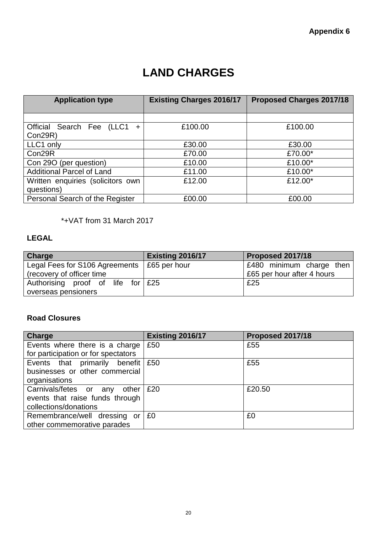## **LAND CHARGES**

| <b>Application type</b>           | <b>Existing Charges 2016/17</b> | Proposed Charges 2017/18 |
|-----------------------------------|---------------------------------|--------------------------|
|                                   |                                 |                          |
|                                   |                                 |                          |
| Official Search Fee<br>(LLC1      | £100.00                         | £100.00                  |
| Con29R)                           |                                 |                          |
| LLC1 only                         | £30.00                          | £30.00                   |
| Con29R                            | £70.00                          | £70.00*                  |
| Con 29O (per question)            | £10.00                          | £10.00*                  |
| <b>Additional Parcel of Land</b>  | £11.00                          | £10.00*                  |
| Written enquiries (solicitors own | £12.00                          | £12.00*                  |
| questions)                        |                                 |                          |
| Personal Search of the Register   | £00.00                          | £00.00                   |

\*+VAT from 31 March 2017

### **LEGAL**

| Charge                                              | <b>Existing 2016/17</b> | <b>Proposed 2017/18</b>    |
|-----------------------------------------------------|-------------------------|----------------------------|
| Legal Fees for S106 Agreements $\vert$ £65 per hour |                         | £480 minimum charge then   |
| (recovery of officer time)                          |                         | £65 per hour after 4 hours |
| Authorising proof of life for £25                   |                         | £25                        |
| overseas pensioners                                 |                         |                            |

### **Road Closures**

| Charge                                        | <b>Existing 2016/17</b> | Proposed 2017/18 |
|-----------------------------------------------|-------------------------|------------------|
| Events where there is a charge                | £50                     | £55              |
| for participation or for spectators           |                         |                  |
| Events that primarily benefit $\frac{1}{250}$ |                         | £55              |
| businesses or other commercial                |                         |                  |
| organisations                                 |                         |                  |
| Carnivals/fetes or any<br>other               | £20                     | £20.50           |
| events that raise funds through               |                         |                  |
| collections/donations                         |                         |                  |
| Remembrance/well dressing or                  | £0                      | £0               |
| other commemorative parades                   |                         |                  |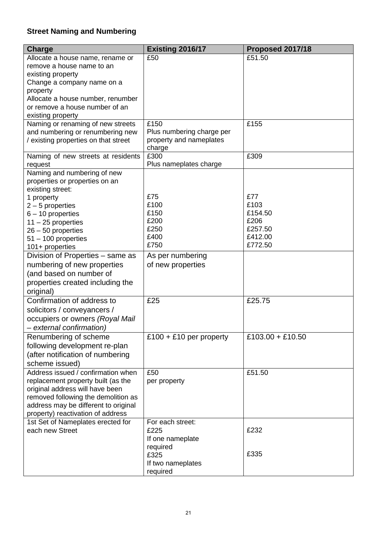### **Street Naming and Numbering**

| <b>Charge</b>                        | <b>Existing 2016/17</b>                              | Proposed 2017/18 |
|--------------------------------------|------------------------------------------------------|------------------|
| Allocate a house name, rename or     | £50                                                  | £51.50           |
| remove a house name to an            |                                                      |                  |
| existing property                    |                                                      |                  |
| Change a company name on a           |                                                      |                  |
| property                             |                                                      |                  |
| Allocate a house number, renumber    |                                                      |                  |
| or remove a house number of an       |                                                      |                  |
| existing property                    |                                                      |                  |
| Naming or renaming of new streets    | £150                                                 | £155             |
| and numbering or renumbering new     | Plus numbering charge per<br>property and nameplates |                  |
| / existing properties on that street | charge                                               |                  |
| Naming of new streets at residents   | £300                                                 | £309             |
| request                              | Plus nameplates charge                               |                  |
| Naming and numbering of new          |                                                      |                  |
| properties or properties on an       |                                                      |                  |
| existing street:                     |                                                      |                  |
| 1 property                           | £75                                                  | £77              |
| $2 - 5$ properties                   | £100                                                 | £103             |
| $6 - 10$ properties                  | £150                                                 | £154.50          |
| $11 - 25$ properties                 | £200                                                 | £206             |
| 26 - 50 properties                   | £250                                                 | £257.50          |
| 51 - 100 properties                  | £400                                                 | £412.00          |
| 101+ properties                      | £750                                                 | £772.50          |
| Division of Properties - same as     | As per numbering                                     |                  |
| numbering of new properties          | of new properties                                    |                  |
| (and based on number of              |                                                      |                  |
| properties created including the     |                                                      |                  |
| original)                            |                                                      |                  |
| Confirmation of address to           | £25                                                  | £25.75           |
| solicitors / conveyancers /          |                                                      |                  |
| occupiers or owners (Royal Mail      |                                                      |                  |
| - external confirmation)             |                                                      |                  |
| Renumbering of scheme                | £100 + £10 per property                              | £103.00 + £10.50 |
| following development re-plan        |                                                      |                  |
| (after notification of numbering     |                                                      |                  |
| scheme issued)                       |                                                      |                  |
| Address issued / confirmation when   | £50                                                  | £51.50           |
| replacement property built (as the   | per property                                         |                  |
| original address will have been      |                                                      |                  |
| removed following the demolition as  |                                                      |                  |
| address may be different to original |                                                      |                  |
| property) reactivation of address    |                                                      |                  |
| 1st Set of Nameplates erected for    | For each street:                                     |                  |
| each new Street                      | £225                                                 | £232             |
|                                      | If one nameplate                                     |                  |
|                                      | required                                             |                  |
|                                      | £325                                                 | £335             |
|                                      | If two nameplates                                    |                  |
|                                      | required                                             |                  |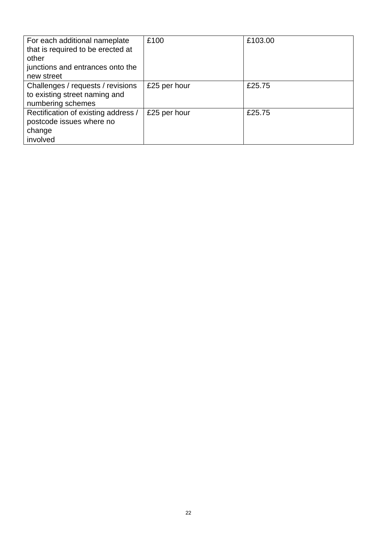| For each additional nameplate<br>that is required to be erected at<br>other<br>junctions and entrances onto the<br>new street | £100         | £103.00 |
|-------------------------------------------------------------------------------------------------------------------------------|--------------|---------|
| Challenges / requests / revisions<br>to existing street naming and<br>numbering schemes                                       | £25 per hour | £25.75  |
| Rectification of existing address /<br>postcode issues where no<br>change<br>involved                                         | £25 per hour | £25.75  |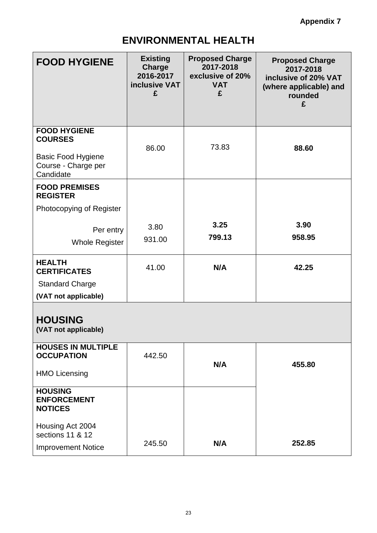## **ENVIRONMENTAL HEALTH**

| <b>FOOD HYGIENE</b>                                                                                    | <b>Existing</b><br><b>Charge</b><br>2016-2017<br><b>inclusive VAT</b><br>£ | <b>Proposed Charge</b><br>2017-2018<br>exclusive of 20%<br><b>VAT</b><br>£ | <b>Proposed Charge</b><br>2017-2018<br>inclusive of 20% VAT<br>(where applicable) and<br>rounded<br>£ |
|--------------------------------------------------------------------------------------------------------|----------------------------------------------------------------------------|----------------------------------------------------------------------------|-------------------------------------------------------------------------------------------------------|
| <b>FOOD HYGIENE</b><br><b>COURSES</b><br><b>Basic Food Hygiene</b><br>Course - Charge per<br>Candidate | 86.00                                                                      | 73.83                                                                      | 88.60                                                                                                 |
| <b>FOOD PREMISES</b><br><b>REGISTER</b><br>Photocopying of Register                                    |                                                                            |                                                                            |                                                                                                       |
| Per entry<br><b>Whole Register</b>                                                                     | 3.80<br>931.00                                                             | 3.25<br>799.13                                                             | 3.90<br>958.95                                                                                        |
| <b>HEALTH</b><br><b>CERTIFICATES</b><br><b>Standard Charge</b>                                         | 41.00                                                                      | N/A                                                                        | 42.25                                                                                                 |
| (VAT not applicable)                                                                                   |                                                                            |                                                                            |                                                                                                       |
| <b>HOUSING</b><br>(VAT not applicable)                                                                 |                                                                            |                                                                            |                                                                                                       |
| <b>HOUSES IN MULTIPLE</b><br><b>OCCUPATION</b><br><b>HMO Licensing</b>                                 | 442.50                                                                     | N/A                                                                        | 455.80                                                                                                |
| <b>HOUSING</b><br><b>ENFORCEMENT</b><br><b>NOTICES</b>                                                 |                                                                            |                                                                            |                                                                                                       |
| Housing Act 2004<br>sections 11 & 12<br><b>Improvement Notice</b>                                      | 245.50                                                                     | N/A                                                                        | 252.85                                                                                                |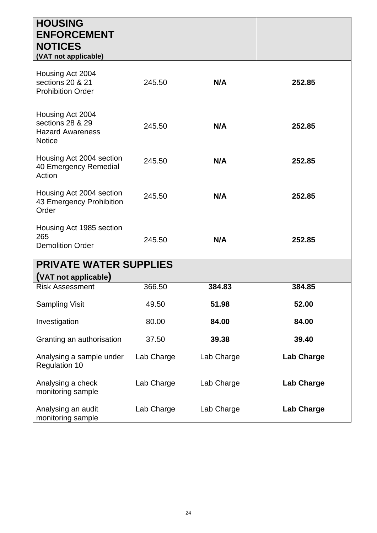| <b>HOUSING</b><br><b>ENFORCEMENT</b><br><b>NOTICES</b>                           |            |            |                   |
|----------------------------------------------------------------------------------|------------|------------|-------------------|
| (VAT not applicable)                                                             |            |            |                   |
| Housing Act 2004<br>sections 20 & 21<br><b>Prohibition Order</b>                 | 245.50     | N/A        | 252.85            |
| Housing Act 2004<br>sections 28 & 29<br><b>Hazard Awareness</b><br><b>Notice</b> | 245.50     | N/A        | 252.85            |
| Housing Act 2004 section<br>40 Emergency Remedial<br>Action                      | 245.50     | N/A        | 252.85            |
| Housing Act 2004 section<br>43 Emergency Prohibition<br>Order                    | 245.50     | N/A        | 252.85            |
| Housing Act 1985 section<br>265<br><b>Demolition Order</b>                       | 245.50     | N/A        | 252.85            |
| <b>PRIVATE WATER SUPPLIES</b>                                                    |            |            |                   |
| (VAT not applicable)                                                             |            |            |                   |
| <b>Risk Assessment</b>                                                           | 366.50     | 384.83     | 384.85            |
| <b>Sampling Visit</b>                                                            | 49.50      | 51.98      | 52.00             |
| Investigation                                                                    | 80.00      | 84.00      | 84.00             |
| Granting an authorisation                                                        | 37.50      | 39.38      | 39.40             |
| Analysing a sample under<br><b>Regulation 10</b>                                 | Lab Charge | Lab Charge | <b>Lab Charge</b> |
| Analysing a check<br>monitoring sample                                           | Lab Charge | Lab Charge | <b>Lab Charge</b> |
| Analysing an audit<br>monitoring sample                                          | Lab Charge | Lab Charge | <b>Lab Charge</b> |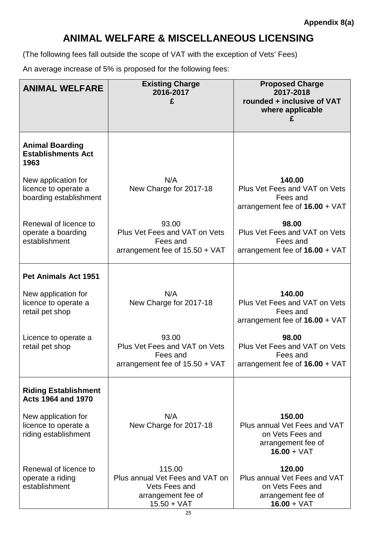## **ANIMAL WELFARE & MISCELLANEOUS LICENSING**

(The following fees fall outside the scope of VAT with the exception of Vets' Fees)

An average increase of 5% is proposed for the following fees:

| <b>ANIMAL WELFARE</b>                                                 | <b>Existing Charge</b><br>2016-2017<br>£                                                          | <b>Proposed Charge</b><br>2017-2018<br>rounded + inclusive of VAT<br>where applicable             |
|-----------------------------------------------------------------------|---------------------------------------------------------------------------------------------------|---------------------------------------------------------------------------------------------------|
| <b>Animal Boarding</b><br><b>Establishments Act</b><br>1963           |                                                                                                   |                                                                                                   |
| New application for<br>licence to operate a<br>boarding establishment | N/A<br>New Charge for 2017-18                                                                     | 140.00<br>Plus Vet Fees and VAT on Vets<br>Fees and<br>arrangement fee of $16.00 + \text{VAT}$    |
| Renewal of licence to<br>operate a boarding<br>establishment          | 93.00<br>Plus Vet Fees and VAT on Vets<br>Fees and<br>arrangement fee of $15.50 + \text{VAT}$     | 98.00<br>Plus Vet Fees and VAT on Vets<br>Fees and<br>arrangement fee of $16.00 + \text{VAT}$     |
| <b>Pet Animals Act 1951</b>                                           |                                                                                                   |                                                                                                   |
| New application for<br>licence to operate a<br>retail pet shop        | N/A<br>New Charge for 2017-18                                                                     | 140.00<br>Plus Vet Fees and VAT on Vets<br>Fees and<br>arrangement fee of $16.00 + \text{VAT}$    |
| Licence to operate a<br>retail pet shop                               | 93.00<br>Plus Vet Fees and VAT on Vets<br>Fees and<br>arrangement fee of 15.50 + VAT              | 98.00<br>Plus Vet Fees and VAT on Vets<br>Fees and<br>arrangement fee of 16.00 + VAT              |
| <b>Riding Establishment</b><br><b>Acts 1964 and 1970</b>              |                                                                                                   |                                                                                                   |
| New application for<br>licence to operate a<br>riding establishment   | N/A<br>New Charge for 2017-18                                                                     | 150.00<br>Plus annual Vet Fees and VAT<br>on Vets Fees and<br>arrangement fee of<br>$16.00 + VAT$ |
| Renewal of licence to<br>operate a riding<br>establishment            | 115.00<br>Plus annual Vet Fees and VAT on<br>Vets Fees and<br>arrangement fee of<br>$15.50 + VAT$ | 120.00<br>Plus annual Vet Fees and VAT<br>on Vets Fees and<br>arrangement fee of<br>$16.00 + VAT$ |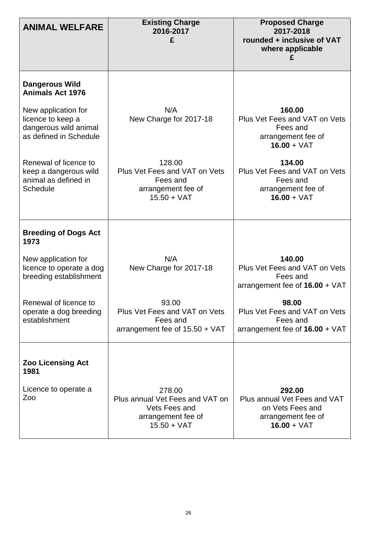| <b>ANIMAL WELFARE</b>                                                                       | <b>Existing Charge</b><br>2016-2017<br>£                                                          | <b>Proposed Charge</b><br>2017-2018<br>rounded + inclusive of VAT<br>where applicable             |
|---------------------------------------------------------------------------------------------|---------------------------------------------------------------------------------------------------|---------------------------------------------------------------------------------------------------|
| <b>Dangerous Wild</b><br><b>Animals Act 1976</b>                                            |                                                                                                   |                                                                                                   |
| New application for<br>licence to keep a<br>dangerous wild animal<br>as defined in Schedule | N/A<br>New Charge for 2017-18                                                                     | 160.00<br>Plus Vet Fees and VAT on Vets<br>Fees and<br>arrangement fee of<br>$16.00 + VAT$        |
| Renewal of licence to<br>keep a dangerous wild<br>animal as defined in<br><b>Schedule</b>   | 128.00<br>Plus Vet Fees and VAT on Vets<br>Fees and<br>arrangement fee of<br>$15.50 + VAT$        | 134.00<br>Plus Vet Fees and VAT on Vets<br>Fees and<br>arrangement fee of<br>$16.00 + VAT$        |
| <b>Breeding of Dogs Act</b><br>1973                                                         |                                                                                                   |                                                                                                   |
| New application for<br>licence to operate a dog<br>breeding establishment                   | N/A<br>New Charge for 2017-18                                                                     | 140.00<br>Plus Vet Fees and VAT on Vets<br>Fees and<br>arrangement fee of $16.00 + \sqrt{AT}$     |
| Renewal of licence to<br>operate a dog breeding<br>establishment                            | 93.00<br>Plus Vet Fees and VAT on Vets<br>Fees and<br>arrangement fee of $15.50 + \text{VAT}$     | 98.00<br>Plus Vet Fees and VAT on Vets<br>Fees and<br>arrangement fee of $16.00 + \sqrt{AT}$      |
| <b>Zoo Licensing Act</b><br>1981                                                            |                                                                                                   |                                                                                                   |
| Licence to operate a<br>Zoo                                                                 | 278.00<br>Plus annual Vet Fees and VAT on<br>Vets Fees and<br>arrangement fee of<br>$15.50 + VAT$ | 292.00<br>Plus annual Vet Fees and VAT<br>on Vets Fees and<br>arrangement fee of<br>$16.00 + VAT$ |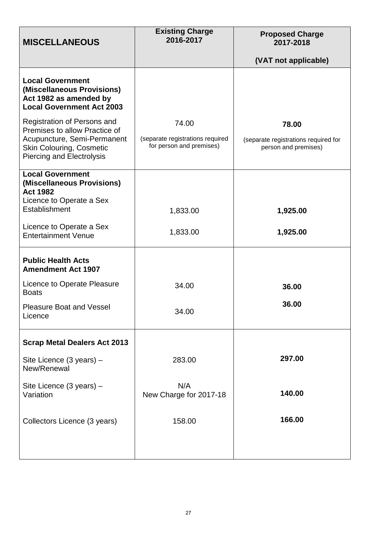| <b>MISCELLANEOUS</b>                                                                                                                                               | <b>Existing Charge</b><br>2016-2017                                   | <b>Proposed Charge</b><br>2017-2018                                   |
|--------------------------------------------------------------------------------------------------------------------------------------------------------------------|-----------------------------------------------------------------------|-----------------------------------------------------------------------|
|                                                                                                                                                                    |                                                                       | (VAT not applicable)                                                  |
| <b>Local Government</b><br>(Miscellaneous Provisions)<br>Act 1982 as amended by<br><b>Local Government Act 2003</b>                                                |                                                                       |                                                                       |
| Registration of Persons and<br>Premises to allow Practice of<br>Acupuncture, Semi-Permanent<br><b>Skin Colouring, Cosmetic</b><br><b>Piercing and Electrolysis</b> | 74.00<br>(separate registrations required<br>for person and premises) | 78.00<br>(separate registrations required for<br>person and premises) |
| <b>Local Government</b><br>(Miscellaneous Provisions)<br><b>Act 1982</b><br>Licence to Operate a Sex                                                               |                                                                       |                                                                       |
| Establishment<br>Licence to Operate a Sex<br><b>Entertainment Venue</b>                                                                                            | 1,833.00<br>1,833.00                                                  | 1,925.00<br>1,925.00                                                  |
| <b>Public Health Acts</b><br><b>Amendment Act 1907</b>                                                                                                             |                                                                       |                                                                       |
| Licence to Operate Pleasure<br><b>Boats</b>                                                                                                                        | 34.00                                                                 | 36.00                                                                 |
| <b>Pleasure Boat and Vessel</b><br>Licence                                                                                                                         | 34.00                                                                 | 36.00                                                                 |
| <b>Scrap Metal Dealers Act 2013</b>                                                                                                                                |                                                                       |                                                                       |
| Site Licence (3 years) -<br>New/Renewal                                                                                                                            | 283.00                                                                | 297.00                                                                |
| Site Licence (3 years) -<br>Variation                                                                                                                              | N/A<br>New Charge for 2017-18                                         | 140.00                                                                |
| Collectors Licence (3 years)                                                                                                                                       | 158.00                                                                | 166.00                                                                |
|                                                                                                                                                                    |                                                                       |                                                                       |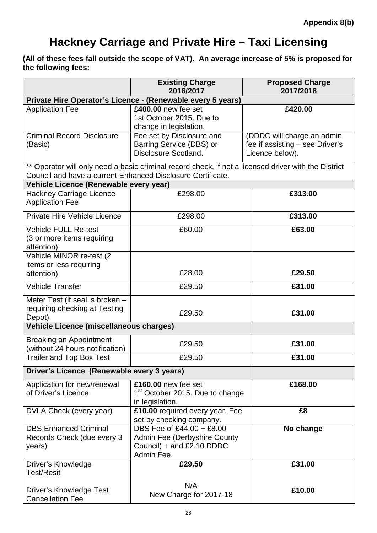## **Hackney Carriage and Private Hire – Taxi Licensing**

**(All of these fees fall outside the scope of VAT). An average increase of 5% is proposed for the following fees:**

|                                                                                                       | <b>Existing Charge</b><br>2016/2017                                                                  | <b>Proposed Charge</b><br>2017/2018                                              |
|-------------------------------------------------------------------------------------------------------|------------------------------------------------------------------------------------------------------|----------------------------------------------------------------------------------|
|                                                                                                       | Private Hire Operator's Licence - (Renewable every 5 years)                                          |                                                                                  |
| <b>Application Fee</b>                                                                                | £400.00 new fee set<br>1st October 2015. Due to<br>change in legislation.                            | £420.00                                                                          |
| <b>Criminal Record Disclosure</b><br>(Basic)                                                          | Fee set by Disclosure and<br>Barring Service (DBS) or<br>Disclosure Scotland.                        | (DDDC will charge an admin<br>fee if assisting - see Driver's<br>Licence below). |
| Council and have a current Enhanced Disclosure Certificate.<br>Vehicle Licence (Renewable every year) | ** Operator will only need a basic criminal record check, if not a licensed driver with the District |                                                                                  |
| <b>Hackney Carriage Licence</b><br><b>Application Fee</b>                                             | £298.00                                                                                              | £313.00                                                                          |
| Private Hire Vehicle Licence                                                                          | £298.00                                                                                              | £313.00                                                                          |
| <b>Vehicle FULL Re-test</b><br>(3 or more items requiring<br>attention)                               | £60.00                                                                                               | £63.00                                                                           |
| Vehicle MINOR re-test (2<br>items or less requiring<br>attention)                                     | £28.00                                                                                               | £29.50                                                                           |
| <b>Vehicle Transfer</b>                                                                               | £29.50                                                                                               | £31.00                                                                           |
| Meter Test (if seal is broken -<br>requiring checking at Testing<br>Depot)                            | £29.50                                                                                               | £31.00                                                                           |
| Vehicle Licence (miscellaneous charges)                                                               |                                                                                                      |                                                                                  |
| <b>Breaking an Appointment</b><br>(without 24 hours notification)                                     | £29.50                                                                                               | £31.00                                                                           |
| <b>Trailer and Top Box Test</b>                                                                       | £29.50                                                                                               | £31.00                                                                           |
| Driver's Licence (Renewable every 3 years)                                                            |                                                                                                      |                                                                                  |
| Application for new/renewal<br>of Driver's Licence                                                    | £160.00 new fee set<br>1 <sup>st</sup> October 2015. Due to change<br>in legislation.                | £168.00                                                                          |
| DVLA Check (every year)                                                                               | £10.00 required every year. Fee<br>set by checking company.                                          | £8                                                                               |
| <b>DBS Enhanced Criminal</b><br>Records Check (due every 3<br>years)                                  | DBS Fee of £44.00 + £8.00<br>Admin Fee (Derbyshire County<br>Council) + and £2.10 DDDC<br>Admin Fee. | No change                                                                        |
| Driver's Knowledge<br><b>Test/Resit</b>                                                               | £29.50                                                                                               | £31.00                                                                           |
| <b>Driver's Knowledge Test</b><br><b>Cancellation Fee</b>                                             | N/A<br>New Charge for 2017-18                                                                        | £10.00                                                                           |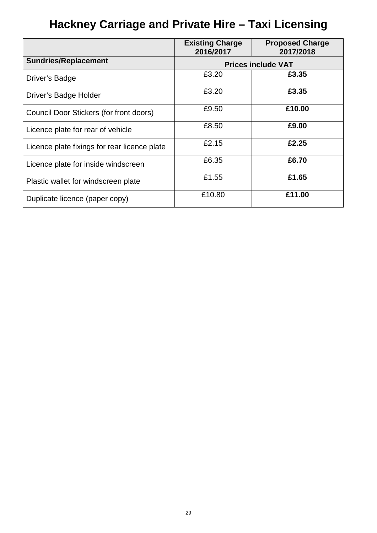# **Hackney Carriage and Private Hire – Taxi Licensing**

|                                              | <b>Existing Charge</b><br>2016/2017 | <b>Proposed Charge</b><br>2017/2018 |
|----------------------------------------------|-------------------------------------|-------------------------------------|
| <b>Sundries/Replacement</b>                  |                                     | <b>Prices include VAT</b>           |
| Driver's Badge                               | £3.20                               | £3.35                               |
| Driver's Badge Holder                        | £3.20                               | £3.35                               |
| Council Door Stickers (for front doors)      | £9.50                               | £10.00                              |
| Licence plate for rear of vehicle            | £8.50                               | £9.00                               |
| Licence plate fixings for rear licence plate | £2.15                               | £2.25                               |
| Licence plate for inside windscreen          | £6.35                               | £6.70                               |
| Plastic wallet for windscreen plate          | £1.55                               | £1.65                               |
| Duplicate licence (paper copy)               | £10.80                              | £11.00                              |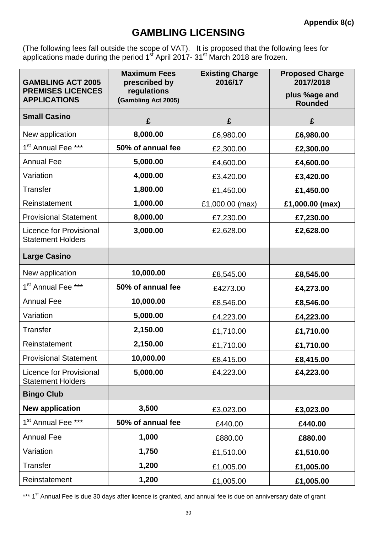### **GAMBLING LICENSING**

(The following fees fall outside the scope of VAT). It is proposed that the following fees for applications made during the period  $1<sup>st</sup>$  April 2017- 31<sup>st</sup> March 2018 are frozen.

| <b>GAMBLING ACT 2005</b>                                   | <b>Maximum Fees</b><br>prescribed by | <b>Existing Charge</b><br>2016/17 | <b>Proposed Charge</b><br>2017/2018 |
|------------------------------------------------------------|--------------------------------------|-----------------------------------|-------------------------------------|
| <b>PREMISES LICENCES</b><br><b>APPLICATIONS</b>            | regulations<br>(Gambling Act 2005)   |                                   | plus %age and<br><b>Rounded</b>     |
| <b>Small Casino</b>                                        | £                                    | £                                 | £                                   |
| New application                                            | 8,000.00                             | £6,980.00                         | £6,980.00                           |
| 1 <sup>st</sup> Annual Fee ***                             | 50% of annual fee                    | £2,300.00                         | £2,300.00                           |
| <b>Annual Fee</b>                                          | 5,000.00                             | £4,600.00                         | £4,600.00                           |
| Variation                                                  | 4,000.00                             | £3,420.00                         | £3,420.00                           |
| <b>Transfer</b>                                            | 1,800.00                             | £1,450.00                         | £1,450.00                           |
| Reinstatement                                              | 1,000.00                             | £1,000.00 (max)                   | £1,000.00 (max)                     |
| <b>Provisional Statement</b>                               | 8,000.00                             | £7,230.00                         | £7,230.00                           |
| <b>Licence for Provisional</b><br><b>Statement Holders</b> | 3,000.00                             | £2,628.00                         | £2,628.00                           |
| <b>Large Casino</b>                                        |                                      |                                   |                                     |
| New application                                            | 10,000.00                            | £8,545.00                         | £8,545.00                           |
| 1 <sup>st</sup> Annual Fee ***                             | 50% of annual fee                    | £4273.00                          | £4,273.00                           |
| <b>Annual Fee</b>                                          | 10,000.00                            | £8,546.00                         | £8,546.00                           |
| Variation                                                  | 5,000.00                             | £4,223.00                         | £4,223.00                           |
| <b>Transfer</b>                                            | 2,150.00                             | £1,710.00                         | £1,710.00                           |
| Reinstatement                                              | 2,150.00                             | £1,710.00                         | £1,710.00                           |
| <b>Provisional Statement</b>                               | 10,000.00                            | £8,415.00                         | £8,415.00                           |
| <b>Licence for Provisional</b><br><b>Statement Holders</b> | 5,000.00                             | £4,223.00                         | £4,223.00                           |
| <b>Bingo Club</b>                                          |                                      |                                   |                                     |
| <b>New application</b>                                     | 3,500                                | £3,023.00                         | £3,023.00                           |
| 1 <sup>st</sup> Annual Fee ***                             | 50% of annual fee                    | £440.00                           | £440.00                             |
| <b>Annual Fee</b>                                          | 1,000                                | £880.00                           | £880.00                             |
| Variation                                                  | 1,750                                | £1,510.00                         | £1,510.00                           |
| <b>Transfer</b>                                            | 1,200                                | £1,005.00                         | £1,005.00                           |
| Reinstatement                                              | 1,200                                | £1,005.00                         | £1,005.00                           |

\*\*\* 1<sup>st</sup> Annual Fee is due 30 days after licence is granted, and annual fee is due on anniversary date of grant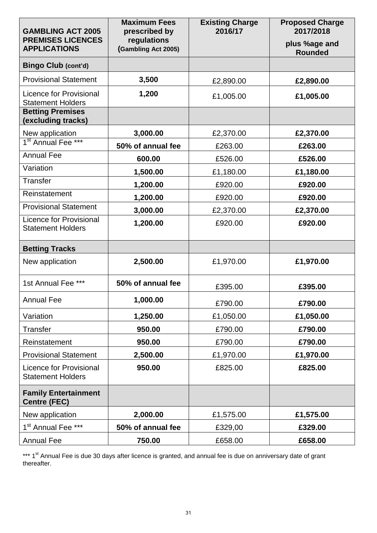| <b>GAMBLING ACT 2005</b>                                   | <b>Maximum Fees</b><br>prescribed by | <b>Existing Charge</b><br>2016/17 | <b>Proposed Charge</b><br>2017/2018 |
|------------------------------------------------------------|--------------------------------------|-----------------------------------|-------------------------------------|
| <b>PREMISES LICENCES</b><br><b>APPLICATIONS</b>            | regulations<br>(Gambling Act 2005)   |                                   | plus %age and<br><b>Rounded</b>     |
| <b>Bingo Club (cont'd)</b>                                 |                                      |                                   |                                     |
| <b>Provisional Statement</b>                               | 3,500                                | £2,890.00                         | £2,890.00                           |
| <b>Licence for Provisional</b><br><b>Statement Holders</b> | 1,200                                | £1,005.00                         | £1,005.00                           |
| <b>Betting Premises</b><br>(excluding tracks)              |                                      |                                   |                                     |
| New application<br>1 <sup>st</sup> Annual Fee ***          | 3,000.00                             | £2,370.00                         | £2,370.00                           |
|                                                            | 50% of annual fee                    | £263.00                           | £263.00                             |
| <b>Annual Fee</b>                                          | 600.00                               | £526.00                           | £526.00                             |
| Variation                                                  | 1,500.00                             | £1,180.00                         | £1,180.00                           |
| <b>Transfer</b>                                            | 1,200.00                             | £920.00                           | £920.00                             |
| Reinstatement                                              | 1,200.00                             | £920.00                           | £920.00                             |
| <b>Provisional Statement</b>                               | 3,000.00                             | £2,370.00                         | £2,370.00                           |
| <b>Licence for Provisional</b><br><b>Statement Holders</b> | 1,200.00                             | £920.00                           | £920.00                             |
| <b>Betting Tracks</b>                                      |                                      |                                   |                                     |
| New application                                            | 2,500.00                             | £1,970.00                         | £1,970.00                           |
| 1st Annual Fee ***                                         | 50% of annual fee                    | £395.00                           | £395.00                             |
| <b>Annual Fee</b>                                          | 1,000.00                             | £790.00                           | £790.00                             |
| Variation                                                  | 1,250.00                             | £1,050.00                         | £1,050.00                           |
| <b>Transfer</b>                                            | 950.00                               | £790.00                           | £790.00                             |
| Reinstatement                                              | 950.00                               | £790.00                           | £790.00                             |
| <b>Provisional Statement</b>                               | 2,500.00                             | £1,970.00                         | £1,970.00                           |
| <b>Licence for Provisional</b><br><b>Statement Holders</b> | 950.00                               | £825.00                           | £825.00                             |
| <b>Family Entertainment</b><br><b>Centre (FEC)</b>         |                                      |                                   |                                     |
| New application                                            | 2,000.00                             | £1,575.00                         | £1,575.00                           |
| 1 <sup>st</sup> Annual Fee ***                             | 50% of annual fee                    | £329,00                           | £329.00                             |
| <b>Annual Fee</b>                                          | 750.00                               | £658.00                           | £658.00                             |

\*\*\* 1<sup>st</sup> Annual Fee is due 30 days after licence is granted, and annual fee is due on anniversary date of grant thereafter.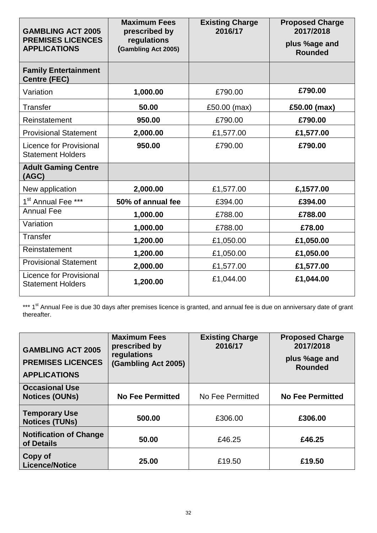| <b>GAMBLING ACT 2005</b><br><b>PREMISES LICENCES</b><br><b>APPLICATIONS</b> | <b>Maximum Fees</b><br>prescribed by<br>regulations<br>(Gambling Act 2005) | <b>Existing Charge</b><br>2016/17 | <b>Proposed Charge</b><br>2017/2018<br>plus %age and<br><b>Rounded</b> |
|-----------------------------------------------------------------------------|----------------------------------------------------------------------------|-----------------------------------|------------------------------------------------------------------------|
| <b>Family Entertainment</b><br><b>Centre (FEC)</b>                          |                                                                            |                                   |                                                                        |
| Variation                                                                   | 1,000.00                                                                   | £790.00                           | £790.00                                                                |
| <b>Transfer</b>                                                             | 50.00                                                                      | £50.00 (max)                      | £50.00 (max)                                                           |
| Reinstatement                                                               | 950.00                                                                     | £790.00                           | £790.00                                                                |
| <b>Provisional Statement</b>                                                | 2,000.00                                                                   | £1,577.00                         | £1,577.00                                                              |
| Licence for Provisional<br><b>Statement Holders</b>                         | 950.00                                                                     | £790.00                           | £790.00                                                                |
| <b>Adult Gaming Centre</b><br>(AGC)                                         |                                                                            |                                   |                                                                        |
| New application                                                             | 2,000.00                                                                   | £1,577.00                         | £,1577.00                                                              |
| 1 <sup>st</sup> Annual Fee ***                                              | 50% of annual fee                                                          | £394.00                           | £394.00                                                                |
| <b>Annual Fee</b>                                                           | 1,000.00                                                                   | £788.00                           | £788.00                                                                |
| Variation                                                                   | 1,000.00                                                                   | £788.00                           | £78.00                                                                 |
| <b>Transfer</b>                                                             | 1,200.00                                                                   | £1,050.00                         | £1,050.00                                                              |
| Reinstatement                                                               | 1,200.00                                                                   | £1,050.00                         | £1,050.00                                                              |
| <b>Provisional Statement</b>                                                | 2,000.00                                                                   | £1,577.00                         | £1,577.00                                                              |
| Licence for Provisional<br><b>Statement Holders</b>                         | 1,200.00                                                                   | £1,044.00                         | £1,044.00                                                              |

\*\*\* 1<sup>st</sup> Annual Fee is due 30 days after premises licence is granted, and annual fee is due on anniversary date of grant thereafter.

| <b>GAMBLING ACT 2005</b><br><b>PREMISES LICENCES</b><br><b>APPLICATIONS</b> | <b>Maximum Fees</b><br>prescribed by<br>regulations<br>(Gambling Act 2005) | <b>Existing Charge</b><br>2016/17 | <b>Proposed Charge</b><br>2017/2018<br>plus %age and<br><b>Rounded</b> |
|-----------------------------------------------------------------------------|----------------------------------------------------------------------------|-----------------------------------|------------------------------------------------------------------------|
| <b>Occasional Use</b><br><b>Notices (OUNs)</b>                              | <b>No Fee Permitted</b>                                                    | No Fee Permitted                  | <b>No Fee Permitted</b>                                                |
| <b>Temporary Use</b><br><b>Notices (TUNs)</b>                               | 500.00                                                                     | £306.00                           | £306.00                                                                |
| <b>Notification of Change</b><br>of Details                                 | 50.00                                                                      | £46.25                            | £46.25                                                                 |
| Copy of<br><b>Licence/Notice</b>                                            | 25.00                                                                      | £19.50                            | £19.50                                                                 |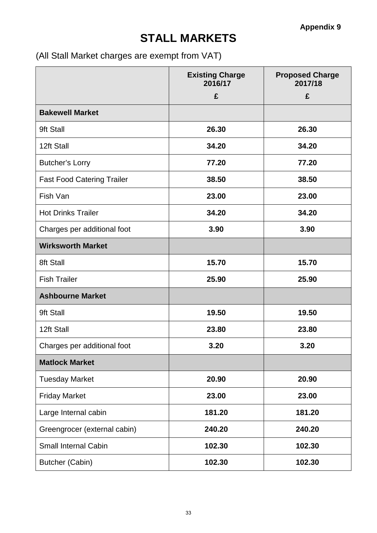## **STALL MARKETS**

(All Stall Market charges are exempt from VAT)

|                                   | <b>Existing Charge</b><br>2016/17 | <b>Proposed Charge</b><br>2017/18 |
|-----------------------------------|-----------------------------------|-----------------------------------|
|                                   | £                                 | £                                 |
| <b>Bakewell Market</b>            |                                   |                                   |
| 9ft Stall                         | 26.30                             | 26.30                             |
| 12ft Stall                        | 34.20                             | 34.20                             |
| <b>Butcher's Lorry</b>            | 77.20                             | 77.20                             |
| <b>Fast Food Catering Trailer</b> | 38.50                             | 38.50                             |
| Fish Van                          | 23.00                             | 23.00                             |
| <b>Hot Drinks Trailer</b>         | 34.20                             | 34.20                             |
| Charges per additional foot       | 3.90                              | 3.90                              |
| <b>Wirksworth Market</b>          |                                   |                                   |
| 8ft Stall                         | 15.70                             | 15.70                             |
| <b>Fish Trailer</b>               | 25.90                             | 25.90                             |
| <b>Ashbourne Market</b>           |                                   |                                   |
| 9ft Stall                         | 19.50                             | 19.50                             |
| 12ft Stall                        | 23.80                             | 23.80                             |
| Charges per additional foot       | 3.20                              | 3.20                              |
| <b>Matlock Market</b>             |                                   |                                   |
| <b>Tuesday Market</b>             | 20.90                             | 20.90                             |
| <b>Friday Market</b>              | 23.00                             | 23.00                             |
| Large Internal cabin              | 181.20                            | 181.20                            |
| Greengrocer (external cabin)      | 240.20                            | 240.20                            |
| <b>Small Internal Cabin</b>       | 102.30                            | 102.30                            |
| <b>Butcher (Cabin)</b>            | 102.30                            | 102.30                            |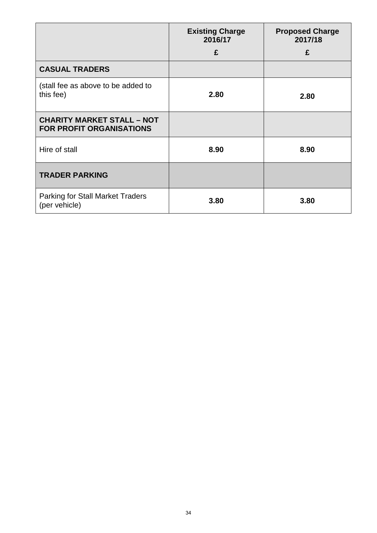|                                                                      | <b>Existing Charge</b><br>2016/17 | <b>Proposed Charge</b><br>2017/18 |
|----------------------------------------------------------------------|-----------------------------------|-----------------------------------|
|                                                                      | £                                 | £                                 |
| <b>CASUAL TRADERS</b>                                                |                                   |                                   |
| (stall fee as above to be added to<br>this fee)                      | 2.80                              | 2.80                              |
| <b>CHARITY MARKET STALL - NOT</b><br><b>FOR PROFIT ORGANISATIONS</b> |                                   |                                   |
| Hire of stall                                                        | 8.90                              | 8.90                              |
| <b>TRADER PARKING</b>                                                |                                   |                                   |
| <b>Parking for Stall Market Traders</b><br>(per vehicle)             | 3.80                              | 3.80                              |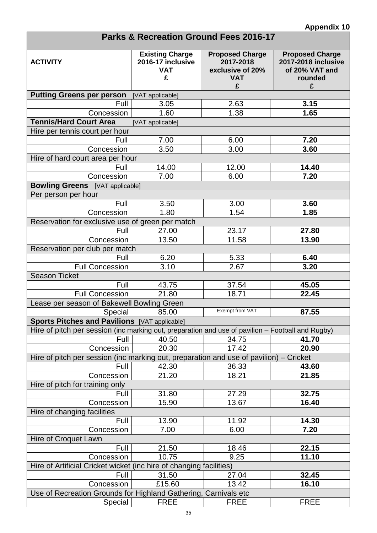| <b>Parks &amp; Recreation Ground Fees 2016-17</b>                                                 |                                                                |                                                                            |                                                                                        |  |
|---------------------------------------------------------------------------------------------------|----------------------------------------------------------------|----------------------------------------------------------------------------|----------------------------------------------------------------------------------------|--|
| <b>ACTIVITY</b>                                                                                   | <b>Existing Charge</b><br>2016-17 inclusive<br><b>VAT</b><br>£ | <b>Proposed Charge</b><br>2017-2018<br>exclusive of 20%<br><b>VAT</b><br>£ | <b>Proposed Charge</b><br><b>2017-2018 inclusive</b><br>of 20% VAT and<br>rounded<br>£ |  |
| <b>Putting Greens per person</b>                                                                  | [VAT applicable]                                               |                                                                            |                                                                                        |  |
| Full                                                                                              | 3.05                                                           | 2.63                                                                       | 3.15                                                                                   |  |
| Concession                                                                                        | 1.60                                                           | 1.38                                                                       | 1.65                                                                                   |  |
| <b>Tennis/Hard Court Area</b>                                                                     | [VAT applicable]                                               |                                                                            |                                                                                        |  |
| Hire per tennis court per hour                                                                    |                                                                |                                                                            |                                                                                        |  |
| Full                                                                                              | 7.00                                                           | 6.00                                                                       | 7.20                                                                                   |  |
| Concession                                                                                        | 3.50                                                           | 3.00                                                                       | 3.60                                                                                   |  |
| Hire of hard court area per hour                                                                  |                                                                |                                                                            |                                                                                        |  |
| Full                                                                                              | 14.00                                                          | 12.00                                                                      | 14.40                                                                                  |  |
| Concession                                                                                        | 7.00                                                           | 6.00                                                                       | 7.20                                                                                   |  |
| <b>Bowling Greens</b> [VAT applicable]                                                            |                                                                |                                                                            |                                                                                        |  |
| Per person per hour                                                                               |                                                                |                                                                            |                                                                                        |  |
| Full                                                                                              | 3.50                                                           | 3.00                                                                       | 3.60                                                                                   |  |
| Concession                                                                                        | 1.80                                                           | 1.54                                                                       | 1.85                                                                                   |  |
| Reservation for exclusive use of green per match                                                  |                                                                |                                                                            |                                                                                        |  |
| Full                                                                                              | 27.00                                                          | 23.17                                                                      | 27.80                                                                                  |  |
| Concession                                                                                        | 13.50                                                          | 11.58                                                                      | 13.90                                                                                  |  |
| Reservation per club per match                                                                    |                                                                |                                                                            |                                                                                        |  |
| Full                                                                                              | 6.20                                                           | 5.33                                                                       | 6.40                                                                                   |  |
| <b>Full Concession</b>                                                                            | 3.10                                                           | 2.67                                                                       | 3.20                                                                                   |  |
| <b>Season Ticket</b>                                                                              |                                                                |                                                                            |                                                                                        |  |
| Full                                                                                              | 43.75                                                          | 37.54                                                                      | 45.05                                                                                  |  |
| <b>Full Concession</b>                                                                            | 21.80                                                          | 18.71                                                                      | 22.45                                                                                  |  |
| Lease per season of Bakewell Bowling Green                                                        |                                                                |                                                                            |                                                                                        |  |
| Special                                                                                           | 85.00                                                          | Exempt from VAT                                                            | 87.55                                                                                  |  |
| Sports Pitches and Pavilions [VAT applicable]                                                     |                                                                |                                                                            |                                                                                        |  |
| Hire of pitch per session (inc marking out, preparation and use of pavilion – Football and Rugby) |                                                                |                                                                            |                                                                                        |  |
| Full                                                                                              | 40.50                                                          | 34.75                                                                      | 41.70                                                                                  |  |
| Concession                                                                                        | 20.30                                                          | 17.42                                                                      | 20.90                                                                                  |  |
| Hire of pitch per session (inc marking out, preparation and use of pavilion) – Cricket            |                                                                |                                                                            |                                                                                        |  |
| Full                                                                                              | 42.30                                                          | 36.33                                                                      | 43.60                                                                                  |  |
| Concession                                                                                        | 21.20                                                          | 18.21                                                                      | 21.85                                                                                  |  |
| Hire of pitch for training only                                                                   |                                                                |                                                                            |                                                                                        |  |
| Full                                                                                              | 31.80                                                          | 27.29                                                                      | 32.75                                                                                  |  |
| Concession                                                                                        | 15.90                                                          | 13.67                                                                      | 16.40                                                                                  |  |
| Hire of changing facilities                                                                       |                                                                |                                                                            |                                                                                        |  |
| Full                                                                                              | 13.90                                                          | 11.92                                                                      | 14.30                                                                                  |  |
| Concession                                                                                        | 7.00                                                           | 6.00                                                                       | 7.20                                                                                   |  |
| Hire of Croquet Lawn                                                                              |                                                                |                                                                            |                                                                                        |  |
| Full                                                                                              | 21.50                                                          | 18.46                                                                      | 22.15                                                                                  |  |
| Concession                                                                                        | 10.75                                                          | 9.25                                                                       | 11.10                                                                                  |  |
| Hire of Artificial Cricket wicket (inc hire of changing facilities)                               |                                                                |                                                                            |                                                                                        |  |
| Full                                                                                              | 31.50                                                          | 27.04                                                                      | 32.45                                                                                  |  |
| Concession                                                                                        | £15.60                                                         | 13.42                                                                      | 16.10                                                                                  |  |
| Use of Recreation Grounds for Highland Gathering, Carnivals etc                                   |                                                                |                                                                            |                                                                                        |  |
| Special                                                                                           | <b>FREE</b>                                                    | <b>FREE</b>                                                                | <b>FREE</b>                                                                            |  |

П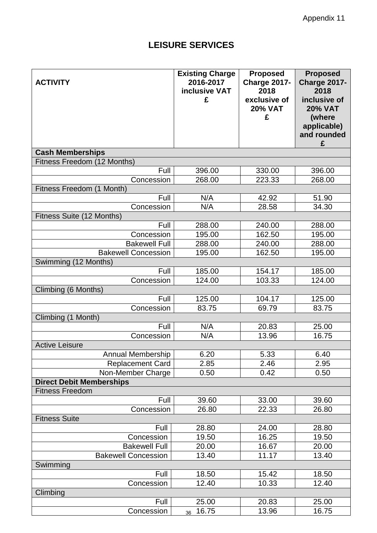### Appendix 11

### **LEISURE SERVICES**

|                                 | <b>Existing Charge</b> | <b>Proposed</b>     | <b>Proposed</b> |
|---------------------------------|------------------------|---------------------|-----------------|
| <b>ACTIVITY</b>                 | 2016-2017              | <b>Charge 2017-</b> | Charge 2017-    |
|                                 | inclusive VAT          | 2018                | 2018            |
|                                 | £                      | exclusive of        | inclusive of    |
|                                 |                        | <b>20% VAT</b>      | <b>20% VAT</b>  |
|                                 |                        | £                   | (where          |
|                                 |                        |                     | applicable)     |
|                                 |                        |                     | and rounded     |
|                                 |                        |                     | £               |
| <b>Cash Memberships</b>         |                        |                     |                 |
| Fitness Freedom (12 Months)     |                        |                     |                 |
| Full                            | 396.00                 | 330.00              | 396.00          |
| Concession                      | 268.00                 | 223.33              | 268.00          |
| Fitness Freedom (1 Month)       |                        |                     |                 |
| Full                            | N/A                    | 42.92               | 51.90           |
| Concession                      | N/A                    | 28.58               | 34.30           |
| Fitness Suite (12 Months)       |                        |                     |                 |
| Full                            | 288.00                 | 240.00              | 288.00          |
| Concession                      | 195.00                 | 162.50              | 195.00          |
| <b>Bakewell Full</b>            | 288.00                 | 240.00              | 288.00          |
| <b>Bakewell Concession</b>      | 195.00                 | 162.50              | 195.00          |
| Swimming (12 Months)            |                        |                     |                 |
| Full                            | 185.00                 | 154.17              | 185.00          |
| Concession                      | 124.00                 | 103.33              | 124.00          |
| Climbing (6 Months)             |                        |                     |                 |
| Full                            | 125.00                 | 104.17              | 125.00          |
| Concession                      | 83.75                  | 69.79               | 83.75           |
| Climbing (1 Month)              |                        |                     |                 |
| Full                            | N/A                    | 20.83               | 25.00           |
| Concession                      | N/A                    | 13.96               | 16.75           |
| <b>Active Leisure</b>           |                        |                     |                 |
| Annual Membership               | 6.20                   | 5.33                | 6.40            |
| <b>Replacement Card</b>         | 2.85                   | 2.46                | 2.95            |
| Non-Member Charge               | 0.50                   | 0.42                | 0.50            |
| <b>Direct Debit Memberships</b> |                        |                     |                 |
| <b>Fitness Freedom</b>          |                        |                     |                 |
| Full                            | 39.60                  | 33.00               | 39.60           |
| Concession                      | 26.80                  | 22.33               | 26.80           |
| <b>Fitness Suite</b>            |                        |                     |                 |
| Full                            | 28.80                  | 24.00               | 28.80           |
| Concession                      | 19.50                  | 16.25               | 19.50           |
| <b>Bakewell Full</b>            | 20.00                  | 16.67               | 20.00           |
| <b>Bakewell Concession</b>      | 13.40                  | 11.17               | 13.40           |
| Swimming                        |                        |                     |                 |
| Full                            | 18.50                  | 15.42               | 18.50           |
| Concession                      | 12.40                  | 10.33               | 12.40           |
| Climbing                        |                        |                     |                 |
| Full                            | 25.00                  | 20.83               | 25.00           |
| Concession                      | 16.75<br>36            | 13.96               | 16.75           |
|                                 |                        |                     |                 |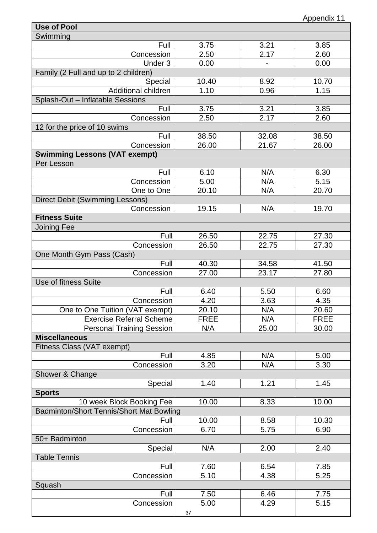| <b>Use of Pool</b>                                 |             |                    |             |
|----------------------------------------------------|-------------|--------------------|-------------|
| Swimming                                           |             |                    |             |
| Full                                               | 3.75        | 3.21               | 3.85        |
| Concession                                         | 2.50        | 2.17               | 2.60        |
| Under 3                                            | 0.00        |                    | 0.00        |
| Family (2 Full and up to 2 children)               |             |                    |             |
| Special                                            | 10.40       | 8.92               | 10.70       |
| Additional children                                | 1.10        | 0.96               | 1.15        |
| Splash-Out - Inflatable Sessions                   |             |                    |             |
| Full                                               | 3.75        | 3.21               | 3.85        |
| Concession                                         | 2.50        | 2.17               | 2.60        |
| 12 for the price of 10 swims                       |             |                    |             |
| Full                                               | 38.50       | 32.08              | 38.50       |
| Concession                                         | 26.00       | $\overline{2}1.67$ | 26.00       |
| <b>Swimming Lessons (VAT exempt)</b><br>Per Lesson |             |                    |             |
| Full                                               | 6.10        | N/A                | 6.30        |
| Concession                                         | 5.00        | N/A                | 5.15        |
| One to One                                         | 20.10       | N/A                | 20.70       |
| <b>Direct Debit (Swimming Lessons)</b>             |             |                    |             |
| Concession                                         | 19.15       | N/A                | 19.70       |
| <b>Fitness Suite</b>                               |             |                    |             |
| <b>Joining Fee</b>                                 |             |                    |             |
| Full                                               | 26.50       | 22.75              | 27.30       |
| Concession                                         | 26.50       | 22.75              | 27.30       |
| One Month Gym Pass (Cash)                          |             |                    |             |
| Full                                               | 40.30       | 34.58              | 41.50       |
| Concession                                         | 27.00       | 23.17              | 27.80       |
| <b>Use of fitness Suite</b>                        |             |                    |             |
| Full                                               | 6.40        | 5.50               | 6.60        |
| Concession                                         | 4.20        | 3.63               | 4.35        |
| One to One Tuition (VAT exempt)                    | 20.10       | N/A                | 20.60       |
| <b>Exercise Referral Scheme</b>                    | <b>FREE</b> | N/A                | <b>FREE</b> |
| <b>Personal Training Session</b>                   | N/A         | 25.00              | 30.00       |
| <b>Miscellaneous</b>                               |             |                    |             |
| Fitness Class (VAT exempt)                         |             |                    |             |
| Full                                               | 4.85        | N/A                | 5.00        |
| Concession                                         | 3.20        | N/A                | 3.30        |
| Shower & Change                                    |             |                    |             |
| Special                                            | 1.40        | 1.21               | 1.45        |
| <b>Sports</b>                                      |             |                    |             |
| 10 week Block Booking Fee                          | 10.00       | 8.33               | 10.00       |
| <b>Badminton/Short Tennis/Short Mat Bowling</b>    |             |                    |             |
| Full                                               | 10.00       | 8.58               | 10.30       |
| Concession                                         | 6.70        | 5.75               | 6.90        |
| 50+ Badminton                                      |             |                    |             |
| Special                                            | N/A         | 2.00               | 2.40        |
| <b>Table Tennis</b>                                |             |                    |             |
| Full                                               | 7.60        | 6.54               | 7.85        |
| Concession                                         | 5.10        | 4.38               | 5.25        |
| Squash                                             |             |                    |             |
| Full                                               | 7.50        | 6.46               | 7.75        |
| Concession                                         | 5.00        | 4.29               | 5.15        |
|                                                    | 37          |                    |             |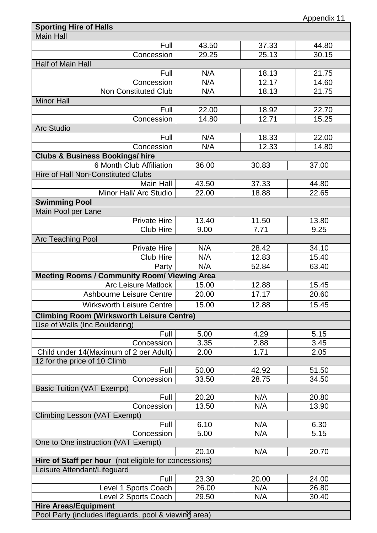| <b>Sporting Hire of Halls</b>                         |       |       |       |
|-------------------------------------------------------|-------|-------|-------|
| <b>Main Hall</b>                                      |       |       |       |
| Full                                                  | 43.50 | 37.33 | 44.80 |
| Concession                                            | 29.25 | 25.13 | 30.15 |
| Half of Main Hall                                     |       |       |       |
| Full                                                  | N/A   | 18.13 | 21.75 |
| Concession                                            | N/A   | 12.17 | 14.60 |
| <b>Non Constituted Club</b>                           | N/A   | 18.13 | 21.75 |
| <b>Minor Hall</b>                                     |       |       |       |
| Full                                                  | 22.00 | 18.92 | 22.70 |
| Concession                                            | 14.80 | 12.71 | 15.25 |
| <b>Arc Studio</b>                                     |       |       |       |
| Full                                                  | N/A   | 18.33 | 22.00 |
| Concession                                            | N/A   | 12.33 | 14.80 |
| <b>Clubs &amp; Business Bookings/ hire</b>            |       |       |       |
| 6 Month Club Affiliation                              | 36.00 | 30.83 | 37.00 |
| <b>Hire of Hall Non-Constituted Clubs</b>             |       |       |       |
| Main Hall                                             | 43.50 | 37.33 | 44.80 |
| Minor Hall/ Arc Studio                                | 22.00 | 18.88 | 22.65 |
| <b>Swimming Pool</b>                                  |       |       |       |
|                                                       |       |       |       |
| Main Pool per Lane                                    |       |       |       |
| <b>Private Hire</b>                                   | 13.40 | 11.50 | 13.80 |
| <b>Club Hire</b>                                      | 9.00  | 7.71  | 9.25  |
| Arc Teaching Pool                                     |       |       |       |
| <b>Private Hire</b>                                   | N/A   | 28.42 | 34.10 |
| <b>Club Hire</b>                                      | N/A   | 12.83 | 15.40 |
| Party                                                 | N/A   | 52.84 | 63.40 |
| <b>Meeting Rooms / Community Room/ Viewing Area</b>   |       |       |       |
| <b>Arc Leisure Matlock</b>                            | 15.00 | 12.88 | 15.45 |
| <b>Ashbourne Leisure Centre</b>                       | 20.00 | 17.17 | 20.60 |
| <b>Wirksworth Leisure Centre</b>                      | 15.00 | 12.88 | 15.45 |
| <b>Climbing Room (Wirksworth Leisure Centre)</b>      |       |       |       |
| Use of Walls (Inc Bouldering)                         |       |       |       |
| Full                                                  | 5.00  | 4.29  | 5.15  |
| Concession                                            | 3.35  | 2.88  | 3.45  |
| Child under 14 (Maximum of 2 per Adult)               | 2.00  | 1.71  | 2.05  |
| 12 for the price of 10 Climb                          |       |       |       |
| Full                                                  | 50.00 | 42.92 | 51.50 |
| Concession                                            | 33.50 | 28.75 | 34.50 |
| <b>Basic Tuition (VAT Exempt)</b>                     |       |       |       |
| Full                                                  | 20.20 | N/A   | 20.80 |
| Concession                                            | 13.50 | N/A   | 13.90 |
| <b>Climbing Lesson (VAT Exempt)</b>                   |       |       |       |
| Full                                                  | 6.10  | N/A   | 6.30  |
| Concession                                            | 5.00  | N/A   | 5.15  |
| One to One instruction (VAT Exempt)                   |       |       |       |
|                                                       | 20.10 | N/A   | 20.70 |
| Hire of Staff per hour (not eligible for concessions) |       |       |       |
| Leisure Attendant/Lifeguard                           |       |       |       |
| Full                                                  | 23.30 | 20.00 | 24.00 |
| Level 1 Sports Coach                                  | 26.00 | N/A   | 26.80 |
| Level 2 Sports Coach                                  | 29.50 | N/A   | 30.40 |
| <b>Hire Areas/Equipment</b>                           |       |       |       |
|                                                       |       |       |       |
| Pool Party (includes lifeguards, pool & viewing area) |       |       |       |